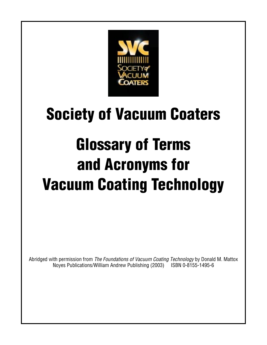

# **Society of Vacuum Coaters**

# **Glossary of Terms and Acronyms for Vacuum Coating Technology**

Abridged with permission from The Foundations of Vacuum Coating Technology by Donald M. Mattox Noyes Publications/William Andrew Publishing (2003) ISBN 0-8155-1495-6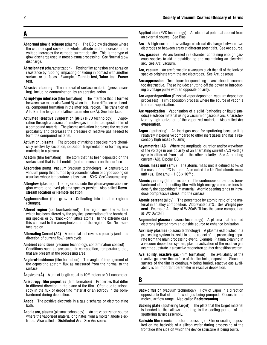#### **A**

- **Abnormal glow discharge** (plasma) The DC glow discharge where the cathode spot covers the whole cathode and an increase in the voltage increases the cathode current density. This is the type of glow discharge used in most plasma processing. See Normal glow discharge.
- **Abrasion test** (characterization) Testing film adhesion and abrasion resistance by rubbing, impacting or sliding in contact with another surface or surfaces. Examples**: Tumble test**, **Tabor test**, **Eraser test.**
- **Abrasive cleaning** The removal of surface material (gross cleaning), including contamination, by an abrasive action.
- **Abrupt-type interface** (film formation) The interface that is formed between two materials (A and B) when there is no diffusion or chemical compound formation in the interfacial region. The transition of A to B in the length of a lattice parameter ( $\approx 3\text{\AA}$ ). See Interface.
- **Activated Reactive Evaporation (ARE)** (PVD technology) Evaporation through a plasma of reactive gas in order to deposit a film of a compound material. The plasma activation increases the reaction probability and decreases the pressure of reactive gas needed to form the compound material.
- **Activation, plasma** The process of making a species more chemically reactive by excitation, ionization, fragmentation or forming new materials in a plasma.
- **Adatom** (film formation) The atom that has been deposited on the surface and that is still mobile (not condensed) on the surface.
- **Adsorption pump, vacuum** (vacuum technology) A capture-type vacuum pump that pumps by cryocondensation or cryotrapping on a surface whose temperature is less than -150°C. See Vacuum pump**.**
- **Afterglow** (plasma) The region outside the plasma-generation region where long-lived plasma species persist. Also called **Downstream location** or **Remote location**.
- **Agglomeration** (film growth) Collecting into isolated regions (clumps).
- **Altered region** (ion bombardment) The region near the surface which has been altered by the physical penetration of the bombarding species or by "knock-on" lattice atoms. In the extreme case this can lead to the amorphorization of the region. See Near-surface region.
- **Alternating Current (AC)** A potential that reverses polarity (and thus direction of current flow) each cycle.
- **Ambient conditions** (vacuum technology, contamination control) Conditions such as pressure, air composition, temperature, etc., that are present in the processing area.
- **Angle-of-incidence** (film formation) The angle of impingement of the depositing adatom flux as measured from the normal to the surface.
- **Ångstrom**  $(\mathbf{A})$  A unit of length equal to 10<sup>-10</sup> meters or 0.1 nanometer.
- **Anisotropy, film properties** (film formation) Properties that differ in different direction in the plane of the film. Often due to anisotropy in the flux of depositing material or anisotropy in the bombardment during deposition.
- **Anode** The positive electrode in a gas discharge or electroplating bath.
- **Anodic arc, plasma** (plasma technology) An arc vaporization source where the vaporized material originates from a molten anode electrode. Also called a **Distributed Arc**. See Arc source.
- **Applied bias** (PVD technology) An electrical potential applied from an external source. See Bias.
- **Arc** A high-current, low-voltage electrical discharge between two electrodes or between areas at different potentials. See Arc source.
- **Arc, gaseous** An arc formed in a chamber containing enough gaseous species to aid in establishing and maintaining an electrical arc. See Arc, vacuum.
- **Arc, vacuum** An arc formed in a vacuum such that all of the ionized species originate from the arc electrodes. See Arc, gaseous.
- **Arc suppression** Techniques for quenching an arc before it becomes too destructive. These include: shutting-off the power or introducing a voltage pulse with an opposite polarity.
- **Arc vapor deposition** (Physical vapor deposition, vacuum deposition processes) Film deposition process where the source of vapor is from arc vaporization.
- **Arc vaporization** Vaporization of a solid (cathodic) or liquid (anodic) electrode material using a vacuum or gaseous arc. Characterized by high ionization of the vaporized material. Also called **Arc evaporation**.
- **Argon** (sputtering) An inert gas used for sputtering because it is relatively inexpensive compared to other inert gases and has a reasonably high mass (40 amu).
- **Asymmetrical AC** Where the amplitude, duration and/or waveform of the voltage in one polarity of an alternating current (AC) voltage cycle is different from that in the other polarity. See Alternating current (AC), Bipolar DC.
- **Atomic mass unit (amu)** The atomic mass unit is defined as 1/<sub>12</sub> of the mass of the 12C isotope. Also called the **Unified atomic mass unit (u)**. One amu =  $1.66 \times 10^{-24}$  g.
- **Atomic peening** (film formation) The continuous or periodic bombardment of a depositing film with high energy atoms or ions to densify the depositing film material. Atomic peening tends to introduce compressive stress into the surface.
- **Atomic percent** (alloy) The percentage by atomic ratio of one material in an alloy composition. Abbreviated at%. See **Weight percent**. Example: An alloy of W:30at%Ti has the same composition as W:10wt%Ti.
- **Augmented plasma** (plasma technology) A plasma that has had electrons injected from an outside source to enhance ionization.
- **Auxiliary plasmas** (plasma technology) A plasma established in a processing system to assist in some aspect of the processing separate from the main processing event. Example: Plasma cleaning in a vacuum deposition system, plasma activation of the reactive gas near the substrate in a reactive magnetron sputter deposition system.
- **Availability, reactive gas** (film formation) The availability of the reactive gas over the surface of the film being deposited. Since the surface of the film is continually being buried, reactive gas availability is an important parameter in reactive deposition.

#### **B**

- **Back-diffusion** (vacuum technology) Flow of vapor in a direction opposite to that of the flow of gas being pumped. Occurs in the molecular flow range. Also called **Backstreaming**.
- **Backing plate** (sputtering target) The plate that the target material is bonded to that allows mounting to the cooling portion of the sputtering target assembly.
- **Backside film** (semiconductor processing) Film or coating deposited on the backside of a silicon wafer during processing of the frontside (the side on which the device structure is being built).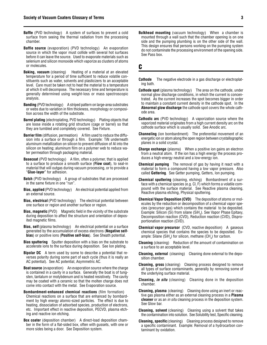- **Baffle** (PVD technology) A system of surfaces to prevent a cold surface from seeing the thermal radiation from the processing chamber.
- **Baffle source** (evaporation) (PVD technology) An evaporation source in which the vapor must collide with several hot surfaces before it can leave the source. Used to evaporate materials such as selenium and silicon monoxide which vaporize as clusters of atoms or molecules.
- **Baking, vacuum** (cleaning) Heating of a material at an elevated temperature for a period of time sufficient to reduce volatile constituents such as water, solvents and plasticizers to an acceptable level. Care must be taken not to heat the material to a temperature at which it will decompose. The necessary time and temperature is generally determined using weight-loss or mass spectroscopic analysis.
- **Banding** (PVD technology) A striped pattern on large-area substrates or webs due to variation in film thickness, morphology or composition across the width of the substrate.
- **Barrel plating** (electroplating, PVD technology) Plating objects that are loose inside a rotating grid structure (cage or barrel) so that they are tumbled and completely covered. See Fixture.
- **Barrier film** (diffusion, permeation) A film used to reduce the diffusion into a surface or through a film. Example: TiN underneath aluminum metallization on silicon to prevent diffusion of Al into the silicon on heating; aluminum film on a polymer web to reduce water permeation through packaging material.
- **Basecoat** (PVD technology) A film, often a polymer, that is applied to a surface to produce a smooth surface (**Flow coat**), to seal-in material that will outgas during vacuum processing, or to provide a "**Glue-layer**" for adhesion.
- **Batch** (PVD technology) A group of substrates that are processed in the same fixture in one "run".
- **Bias, applied** (PVD technology) An electrical potential applied from an external source.
- **Bias, electrical (PVD technology)** The electrical potential between one surface or region and another surface or region.
- **Bias, magnetic** (PVD) Magnetic field in the vicinity of the substrate during deposition to affect the structure and orientation of deposited magnetic films.
- **Bias, self** (plasma technology) An electrical potential on a surface generated by the accumulation of excess electrons (**Negative selfbias**) or positive ions (**Positive self-bias**). See Sheath potential.
- **Bias sputtering** Sputter deposition with a bias on the substrate to accelerate ions to the surface during deposition. See Ion plating.
- **Bipolar DC** A term used by some to describe a potential that reverses polarity during some part of each cycle (thus it is really an AC potential). See AC potential, Asymmetric AC.
- **Boat source** (evaporation) An evaporation source where the charge is contained in a cavity in a surface. Generally the boat is of tungsten, tantalum or molybdenum and is heated resistively. The cavity may be coated with a ceramic so that the molten charge does not come into contact with the metal. See Evaporation source.
- **Bombardment-enhanced chemical reactions** (film formation) Chemical reactions on a surface that are enhanced by bombardment by high energy atomic-sized particles. The effect is due to heating, dissociation of adsorbed species, production of electrons, etc. Important effect in reactive deposition, PECVD, plasma etching and reactive ion etching.
- **Box coater** (deposition chamber) A direct-load deposition chamber in the form of a flat-sided box, often with gussets, with one or more sides being a door. See Deposition system.

**Bulkhead mounting** (vacuum technology) When a chamber is mounted through a wall such that the chamber opening is on one side and the pumping plumbing is on the other side of the wall. This design ensures that persons working on the pumping system do not contaminate the processing environment of the opening side. See Pass box.

#### **C**

- **Cathode** The negative electrode in a gas discharge or electroplating bath.
- **Cathode spot** (plasma technology) The area on the cathode, under normal glow discharge conditions, in which the current is concentrated. As the current increases the spot becomes bigger in order to maintain a constant current density in the cathode spot. In the **Abnormal glow discharge** the cathode spot covers the whole cathode area.
- **Cathodic arc** (PVD technology) A vaporization source where the vaporized material originates from a high current density arc on the cathode surface which is usually solid. See Anodic arc.
- **Channeling** (ion bombardment) The preferential movement of an energetic ion or atom along the open region between crystallographic planes in a solid crystal.
- **Charge exchange** (plasma) When a positive ion gains an electron from a neutral atom. If the ion has a high energy the process produces a high-energy neutral and a low-energy ion.
- **Chemical pumping** The removal of gas by having it react with a material to form a compound having a low vapor pressure. Also called **Gettering**. See Getter pumping, Getters, Ion pumping.
- **Chemical sputtering** (cleaning, etching) Bombardment of a surface with a chemical species (e.g. Cl, F) which forms a volatile compound with the surface material. See Reactive plasma cleaning, Reactive plasma etching, Physical sputtering.
- **Chemical Vapor Deposition (CVD)** The deposition of atoms or molecules by the reduction or decomposition of a chemical vapor species (precursor gas) which contains the material to be deposited. Example: Silicon (Si) from silane (SiH<sub>4</sub>). See Vapor Phase Epitaxy, Decomposition reaction (CVD), Reduction reaction (CVD), Disproportionation reaction (CVD).
- **Chemical vapor precursor** (CVD, reactive deposition) A gaseous chemical species that contains the species to be deposited. Example: Silane (SiH $_{\textrm{\scriptsize{4}}}$ ) for silicon, methane (CH $_{\textrm{\scriptsize{4}}}$ ) for carbon.
- **Cleaning** (cleaning) Reduction of the amount of contamination on a surface to an acceptable level.
- **Cleaning, external** (cleaning) Cleaning done external to the deposition chamber.
- **Cleaning, gross** (cleaning) Cleaning process designed to remove all types of surface contaminants, generally by removing some of the underlying surface material.
- **Cleaning, in situ** (cleaning) Cleaning done in the deposition chamber.
- **Cleaning, plasma** (cleaning) Cleaning done using an inert or reactive gas plasma either as an external cleaning process in a **Plasma cleaner** or as an in situ cleaning process in the deposition system. See Glow bar.
- **Cleaning, solvent** (cleaning) Cleaning using a solvent that takes the contamination into solution. See Solubility test, Specific cleaning.
- **Cleaning, specific**(cleaning) Cleaning process designed to remove a specific contaminant. Example: Removal of a hydrocarbon contaminant by oxidation.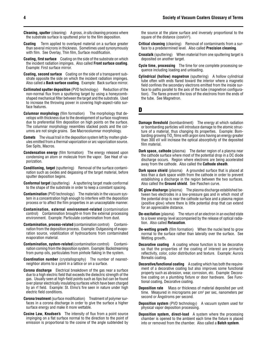- **Cleaning, sputter** (cleaning) A gross, *in situ* cleaning process where the substrate surface is sputtered prior to the film deposition.
- **Coating** Term applied to overlayed material on a surface greater than several microns in thickness. Sometimes used synonymously with film. See Overlay, Thin film, Surface modification.
- **Coating, first surface** Coating on the side of the substrate on which the incident radiation impinges. Also called **Front surface coating**. Example: First surface mirror.
- **Coating, second surface** Coating on the side of a transparent substrate opposite the side on which the incident radiation impinges. Also called a **Back surface coating**. Example: Back surface mirror.
- **Collimated sputter deposition** (PVD technology) Reduction of the non-normal flux from a sputtering target by using a honeycombshaped mechanical filter between the target and the substrate. Used to increase the throwing power in covering high-aspect-ratio surface features.
- **Columnar morphology** (film formation) The morphology that develops with thickness due to the development of surface roughness due to preferential film deposition on high points on the surface. The columnar morphology resembles stacked posts and the columns are not single grains. See Macrocolumnar morphology.
- **Comets** The visual trail in the deposition system left by molten globules emitted from a thermal vaporization or arc vaporization source. See Spits, Macros.
- **Condensation energy** (film formation) The energy released upon condensing an atom or molecule from the vapor. See Heat of vaporization.
- **Conditioning, target** (sputtering) Removal of the surface contamination such as oxides and degassing of the target material, before sputter deposition begins.
- **Conformal target** (sputtering) A sputtering target made conformal to the shape of the substrate in order to keep a constant spacing.
- **Contamination** (PVD technology) The materials in the vacuum system in a concentration high enough to interfere with the deposition process or to affect the film properties in an unacceptable manner.
- **Contamination, external environment-related** (contamination control) Contamination brought-in from the external processing environment. Example: Particulate contamination from dust.
- **Contamination, process-related**(contamination control) Contamination from the deposition process. Example: Outgassing of evaporation source, volatilization of hydrocarbons from contaminated evaporation material.
- **Contamination, system-related**(contamination control) Contamination coming from the deposition system. Example: Backstreaming from pump oils, particulates from pinhole flaking in the system.
- **Coordination number** (crystallography) The number of nearestneighbor atoms to a point in a lattice or on a surface.
- **Corona discharge** Electrical breakdown of the gas near a surface due to a high electric field that exceeds the dielectric strength of the gas. Usually seen at high-field points such as tips but can be found over planar electrically insulating surfaces which have been charged by an rf field. Example: St. Elmo's fire seen in nature under high electric field conditions.
- **Corona treatment** (surface modification) Treatment of polymer surfaces in a corona discharge in order to give the surface a higher surface energy and make it more wettable.
- **Cosine Law, Knudsen's** The intensity of flux from a point source impinging on a flat surface normal to the direction to the point of emission is proportional to the cosine of the angle subtended by

the source at the plane surface and inversely proportional to the square of the distance (cos $\Theta$ /r<sup>2</sup>).

- **Critical cleaning** (cleaning) Removal of contaminants from a surface to a predetermined level. Also called **Precision cleaning**.
- **Crosstalk** (sputtering) When material from one sputtering target is deposited on another target.
- **Cycle time, processing** The time for one complete processing sequence including loading and unloading.
- **Cylindrical (hollow) magnetron** (sputtering) A hollow cylindrical tube often with ends flared toward the interior where a magnetic field confines the secondary electrons emitted from the inside surface to paths parallel to the axis of the tube (magnetron configuration). The flares prevent the loss of the electrons from the ends of the tube. See Magnetron.

#### **D**

- **Damage threshold** (bombardment) The energy at which radiation or bombarding particles will introduce damage to the atomic structure of a material, thus changing its properties. Example: Bombarding growing TiO<sub>2</sub> films with argon ions having an energy greater than 300 eV will increase the optical absorptivity of the deposited film material.
- **Dark space, cathode** (plasma) The darker region of a plasma near the cathode surface where most of the potential drop in a DC diode discharge occurs. Region where electrons are being accelerated away from the cathode. Also called the **Cathode sheath**.
- **Dark space shield** (plasma) A grounded surface that is placed at less than a dark space width from the cathode in order to prevent establishing a discharge in the region between the two surfaces. Also called the **Ground shield**. See Paschen curve.
- **DC glow discharge** (plasma) The plasma discharge established between two electrodes in a low-pressure gas and in which most of the potential drop is near the cathode surface and a plasma region (positive glow) where there is little potential drop that can extend for an appreciable distance.
- **De-excitation** (plasma) The return of an electron in an excited state to a lower energy level accompanied by the release of optical radiation. Also called **Relaxation**.
- **De-wetting growth** (film formation) When the nuclei tend to grow normal to the surface rather than laterally over the surface. See Wetting growth**.**
- **Decorative coating** A coating whose function is to be decorative so that the properties of the coating of interest are primarily reflectivity, color, color distribution and texture. Example: Aurora Borealis coating.
- **Decorative/functional coating** A coating which has both the requirement of a decorative coating but also improves some functional property such as abrasion, wear, corrosion, etc. Example: Decorative coating on a plumbing fixture or door hardware. See Functional coating, Decorative coating.
- **Deposition rate** Mass or thickness of material deposited per unit time. Measured in micrograms per cm<sup>2</sup> per sec, nanometers per second or Ångstroms per second.
- **Deposition system** (PVD technology) A vacuum system used for physical vapor deposition processing.
- **Deposition system, direct-load** A system where the processing chamber is opened to the ambient each time the fixture is placed into or removed from the chamber. Also called a **Batch system**.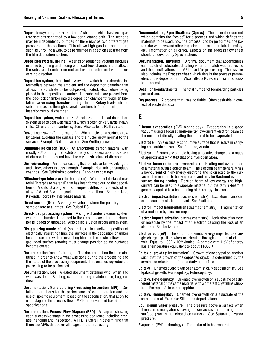- **Deposition system, dual-chamber** A chamber which has two separate sections separated by a low conductance path. The sections may be independently pumped or there may be two different gas pressures in the sections. This allows high gas load operations, such as unrolling a web, to be performed in a section separate from the film deposition section.
- **Deposition system, in-line** A series of sequential vacuum modules in a line beginning and ending with load-lock chambers that allows the substrate to enter one end and exit the other end without reversing direction.
- **Deposition system, load-lock** A system which has a chamber intermediate between the ambient and the deposition chamber that allows the substrate to be outgassed, heated, etc., before being placed in the deposition chamber. The substrates are passed from the load-lock chamber into the deposition chamber through an **Isolation valve using Transfer-tooling**. In the **Rotary load-lock** the substrate passes through several chambers before returning to the insertion/removal chamber.
- **Deposition system, web coater** Specialized direct-load deposition system used to coat web material which is often on very large, heavy rolls. Often a dual-chamber system. Also called a **Roll coater**.
- **Dewetting growth** (film formation) When nuclei on a surface grow by atoms avoiding the surface and the nuclei grow normal to the surface. Example: Gold on carbon. See Wetting growth.
- **Diamond-like carbon (DLC)** An amorphous carbon material with mostly sp<sup>3</sup> bonding that exhibits many of the desirable properties of diamond but does not have the crystal structure of diamond.
- **Dichroic coating** An optical coating that reflects certain wavelengths and allows others to pass through. Example: Heat mirror, sunglass coatings. See Ophthalmic coatings, Band-pass coatings.
- **Diffusion-type interface** (film formation) When the interfacial material (interphase material) that has been formed during the deposition of A onto B along with subsequent diffusion, consists of an alloy of A and B with a gradation in composition. See Interface, Kirkendall porosity, Interphase material.
- **Direct current (DC)** A voltage waveform where the polartity is the same or zero at all tmes. See Pulsed DC.
- **Direct-load processing system** A single-chamber vacuum system where the chamber is opened to the ambient each time the chamber is loaded or unloaded. Also called a Batch processing system.
- **Disappearing anode effect** (sputtering) In reactive deposition of electrically insulating films, the surfaces in the deposition chamber become covered with an insulating film and the electron flow to the grounded surface (anode) must change position as the surfaces become coated.
- **Documentation** (manufacturing) The documentation that is maintained in order to know what was done during the processing and the status of the processing equipment. This enables reproducible processing to be performed.
- **Documentation, Log** A dated document detailing who, when and what was done. See Log, calibration, Log, maintenance, Log, run time.
- **Documentation, Manufacturing Processing Instruction (MPI)** Detailed instructions for the performance of each operation and the use of specific equipment, based on the specification, that apply to each stage of the process flow. MPIs are developed based on the specifications.
- **Documentation, Process Flow Diagram (PFD)** A diagram showing each successive stage in the processing sequence including storage, handling and inspection. A PFD is useful in determining that there are MPIs that cover all stages of the processing.
- **Documentation, Specifications (Specs)** The formal document which contains the "recipe" for a process and which defines the materials to be used, how the process is to be performed, the parameter windows and other important information related to safety, etc. Information on all critical aspects on the process flow sheet should be covered by Specifications.
- **Documentation, Travelers** Archival document that accompanies each batch of substrates detailing when the batch was processed and the specifications and MPIs used for processing. The traveler also includes the **Process sheet** which details the process parameters of the deposition run. Also called a **Run-card** in semiconductor processing.
- **Dose** (ion bombardment) The total number of bombarding particles per unit area.
- **Dry process** A process that uses no fluids. Often desirable in context of waste disposal.

#### **E**

- **E-beam evaporation** (PVD technology) Evaporation in a good vacuum using a focused high-energy low-current electron beam as the means of directly heating the material to be evaporated.
- **Electrode** An electrically conductive surface that is active in carrying an electric current. See Cathode, Anode.
- **Electron** Elementary particle having a negative charge and a mass of approximately 1/1840 that of a hydrogen atom.
- **Electron beam (e-beam)** (evaporation) Heating and evaporation of a material by an electron beam. The electron beam generally has a low-current of high-energy electrons and is directed to the surface of the material to be evaporated and may be **Rastered** over the surface during heating. Electron beam of low-energy and highcurrent can be used to evaporate material but the term e-beam is generally applied to a beam using high-energy electrons.
- **Electron impact excitation** (plasma chemistry) Excitation of an atom or molecule by electron impact. See Excitation.
- **Electron impact fragmentation** (plasma chemistry) Fragmentation of a molecule by electron impact.
- **Electron impact ionization** (plasma chemistry) lonization of an atom or molecule by the impact of an electron causing the loss of an electron. See Ionization.
- **Electron volt (eV)** The amount of kinetic energy imparted to a singly charged particle when accelerated through a potential of one volt. Equal to 1.602 x 10<sup>-19</sup> Joules. A particle with 1 eV of energy has a temperature equivalent to about 11600 K.
- **Epitaxial growth** (film formation) Growth of one crystal on another such that the growth of the deposited crystal is determined by the crystalline orientation of the underlying surface.
- **Epitaxy** Oriented overgrowth of an atomistically deposited film. See Epitaxial growth, Homoepitaxy, Heteroepitaxy.
- **Epitaxy, Heteroepitaxy** Oriented overgrowth on a substrate of a different material or the same material with a different crystalline structure. Example: Silicon on sapphire.
- **Epitaxy, Homoepitaxy** Oriented overgrowth on a substrate of the same material. Example: Silicon on doped silicon.
- **Equilibrium vapor pressure** The pressure above a surface when there are as many atoms leaving the surface as are returning to the surface (isothermal closed container). See Saturation vapor pressure.
- **Evaporant** (PVD technology) The material to be evaporated.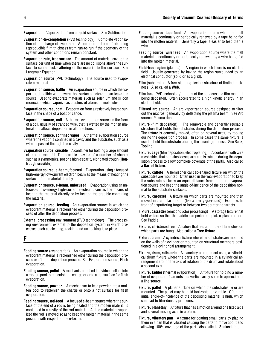**Evaporation** Vaporization from a liquid surface. See Sublimation.

- **Evaporation-to-completion** (PVD technology) Complete vaporization of the charge of evaporant. A common method of obtaining reproducible film thickness from run-to-run if the geometry of the system and other conditions remain constant.
- **Evaporation rate, free surface** The amount of material leaving the surface per unit of time when there are no collisions above the surface to cause backscattering of the material to the surface. See Langmuir Equation.
- **Evaporation source** (PVD technology) The source used to evaporate a material.
- **Evaporation source, baffle** An evaporation source in which the vapor must collide with several hot surfaces before it can leave the source. Used to evaporate materials such as selenium and silicon monoxide which vaporize as clusters of atoms or molecules.
- **Evaporation source, boat** Evaporation from a resistively heated surface in the shape of a boat or canoe.
- **Evaporation source, coil** A thermal evaporation source in the form of a coil, usually of stranded wire, that is wetted by the molten material and allows deposition in all directions.
- **Evaporation source, confined vapor** A thermal evaporation source where the vapor is confined in a cavity and the substrate, such as a wire, is passed through the cavity.
- **Evaporation source, crucible** A container for holding a large amount of molten material. The crucible may be of a number of shapes such as a symmetrical pot or a high-capacity elongated trough (**Hogtrough crucible**).
- **Evaporation source, e-beam, focused** Evaporation using a focused high-energy low-current electron beam as the means of heating the surface of the material directly.
- **Evaporation source, e-beam, unfocused** Evaporation using an unfocused low-energy high-current electron beam as the means of heating the material directly or by heating the crucible containing the material.
- **Evaporation source, feeding** An evaporation source in which the evaporant material is replenished either during the deposition process of after the deposition process.
- **External processing environment** (PVD technology) The processing environment external to the deposition system in which processes such as cleaning, racking and un-racking take place.

### **F**

- **Feeding source** (evaporation) An evaporation source in which the evaporant material is replenished either during the deposition process or after the deposition process. See Evaporation source, Flash evaporation.
- **Feeding source, pellet** A mechanism to feed individual pellets into a molten pool to replenish the charge or onto a hot surface for flash evaporation.
- **Feeding source, powder** A mechanism to feed powder into a molten pool to replenish the charge or onto a hot surface for flash evaporation.
- **Feeding source, rod-feed** A focused e-beam source where the surface of the end of a rod is being heated and the molten material is contained in a cavity of the rod material. As the material is vaporized the rod is moved so as to keep the molten material in the same position with respect to the e-beam.
- **Feeding source, tape feed** An evaporation source where the melt material is continually or periodically renewed by a tape being fed into the molten material.Generally a tape is easier to feed than a wire.
- **Feeding source, wire feed** An evaporation source where the melt material is continually or periodically renewed by a wire being fed into the molten material.
- **Field-free region** (plasma) A region in which there is no electric field. Usually generated by having the region surrounded by an electrical conductor (soild or as a grid).
- **Film** (substrate) A free-standing flexible structure of limited thickness. Also called a **Web**.
- **Film ions** (PVD technology) lons of the condensable film material being deposited. Often accelerated to a high kinetic energy in an electric field.
- **Filtered arc source** An arc vaporization source designed to filter out the macros, generally by deflecting the plasma beam. See Arc source, Plasma duct.
- **Fixture** (film deposition) The removable and generally reusable structure that holds the substrates during the deposition process. The fixture is generally moved, often on several axes, by tooling during the deposition process. In some cases the same fixture is used to hold the substrates during the cleaning process. See Rack, Tooling.
- **Fixture, cage** (film deposition, electroplating) A container with wire mesh sides that contains loose parts and is rotated during the deposition process to allow complete coverage of the parts. Also called a **Barrel fixture**.
- **Fixture, callote** A hemispherical cap-shaped fixture on which the substrates are mounted. Often used in thermal evaporation to keep the substrate surfaces an equal distance from the point-evaporation source and keep the angle-of-incidence of the deposition normal to the substrate surfaces.
- **Fixture, carousel** A fixture on which parts are mounted and then moved in a circular motion (like a merry-go-round). Example: In front of a sputtering target or between two sputtering targets.
- **Fixture, cassette** (semiconductor processing) A storage fixture that hold wafers so that the paddle can perform a pick-n-place motion. See Paddle.
- **Fixture, christmas tree** A fixture that has a number of branches on which parts are hung. Also called a **Tree fixture**.
- **Fixture, drum** A cylindrical fixture where the substrates are mounted on the walls of a cylinder or mounted on structural members positioned in a cylindrical arrangement.
- **Fixture, drum, rotisserie** A planetary arrangement using a cylindrical drum fixture where the parts are mounted in a cylindrical arrangement around the axis of rotation of the drum and rotate about a second axis.
- **Fixture, ladder** (thermal evaporation) A fixture for holding a number of evaporator filaments in a vertical array so as to approximate a line source.
- **Fixture, pallet** A planar surface on which the substrates lie or are mounted. The pallet may be held horizontal or verticle. Often the initial angle-of-incidence of the depositing material is high, which can lead to film-density problems.
- **Fixture, planetary** A fixture that has a motion around one fixed axis and several moving axes in a plane.
- **Fixture, vibratory pan** A fixture for coating small parts by placing them in a pan that is vibrated causing the parts to move about and allowing 100% coverage of the part. Also called a **Shaker table**.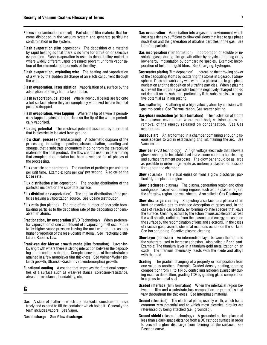- **Flakes** (contamination control) Particles of film material that become dislodged in the vacuum system and generate particulate contamination in the system.
- **Flash evaporation** (film deposition) The deposition of a material by rapid heating so that there is no time for diffusion or selective evaporation. Flash evaporation is used to deposit alloy materials where widely different vapor pressures prevent uniform vaporization of the elemental components of the alloy.
- **Flash evaporation, exploding wire** The heating and vaporization of a wire by the sudden discharge of an electrical current through the wire.
- **Flash evaporation, laser ablation** Vaporization of a surface by the adsorption of energy from a laser pulse.
- **Flash evaporation, pellet feed** Where individual pellets are fed onto a hot surface where they are completely vaporized before the next pellet is dropped.
- **Flash evaporation, wire tapping** Where the tip of a wire is periodically tapped against a hot surface so the tip of the wire is periodically vaporized.
- **Floating potential** The electrical potential assumed by a material that is electrically isolated from ground.
- **Flow chart, process** (manufacturing) A schematic diagram of the processing, including inspection, characterization, handling and storage, that a substrate encounters in going from the as-received material to the final product. The flow chart is useful in determining that complete documetaion has been developed for all phases of the processing.
- **Flux** (particle bombardment) The number of particles per unit area per unit time. Example: lons per cm<sup>2</sup> per second. Also called the **Dose rate.**
- **Flux distribution** (film deposition) The angular distribution of the particles incident on the substrate surface.
- **Flux distribution** (vaporization) The angular distribution of the particles leaving a vaporization source. See Cosine distribution.
- **Flux ratio** (ion plating) The ratio of the number of energetic bombarding particles to the deposition rate of the depositing condensable film atoms.
- **Fractionation, by evaporation** (PVD Technology) When preferential vaporization of one constituent of a vaporizing melt occurs due to its higher vapor pressure leaving the melt with an increasingly higher proportion of the less-volatile material. See Fractional distillation, Raoult's Law.
- **Frank-van der Merwe growth mode** (film formation) Layer-bylayer growth where there is strong interaction between the depositing atoms and the substrate. Complete coverage of the substrate is attained in a few monolayer film thickness. See Volmer-Weber (island) growth, Stranski-Krastanov (pseudomorphic) growth.
- **Functional coating** A coating that improves the functional properties of a surface such as wear-resistance, corrosion-resistance, abrasion-resistance, bondability, etc.

#### **G**

- **Gas** A state of matter in which the molecular constituents move freely and expand to fill the container which holds it. Generally the term includes vapors. See Vapor.
- **Gas discharge See Glow discharge.**
- **Gas evaporation** Vaporization into a gaseous environment which has a gas density sufficient to allow collisions that lead to gas phase nucleation and the generation of ultrafine particles in the gas. See Ultrafine particles.
- **Gas incorporation** (film formation) Incorporation of soluble or insoluble gases during film growth either by physical trapping or by low-energy implantation by bombarding species. Example: Incorporation of helium in gold films. See Charging, hydrogen.
- **Gas scatter plating** (film deposition) Increasing the throwing power of the depositing atoms by scattering the atoms in a gaseous atmosphere. Does not work very well without a plasma due to gas phase nucleation and the deposition of ultrafine particles. When a plasma is present the ultrafine particles become negatively charged and do not deposit on the substrate particularly if the substrate is at a negative potential as in ion plating.
- **Gas scattering** Scattering of a high velocity atom by collision with gas molecules. See Thermalization, Gas scatter plating.
- **Gas-phase nucleation** (particle formation) The nucleation of atoms in a gaseous environment where multi-body collisions allow the removal of the energy released on condensation. See Gas evaporation.
- **Gaseous arc** An arc formed in a chamber containing enough gaseous species to aid in establishing and maintaining the arc. See Vacuum arc.
- **Glow bar** (PVD technology) A high voltage electrode that allows a glow discharge to be established in a vacuum chamber for cleaning and surface treatment purposes. The glow bar should be as large as possible in order to generate as uniform a plasma as possible throughout the chamber.
- **Glow** (plasma) The visual emission from a glow discharge, particularly the plasma region.
- **Glow discharge** (plasma) The plasma generation region and other contiguous plasma-containing regions such as the plasma region, the afterglow region and wall sheath. Also called a **Gas Discharge**.
- **Glow discharge cleaning** Subjecting a surface to a plasma of an inert or reactive gas to enhance desorption of gases and, in the case of reactive gas plasma, by forming volatile species that leave the surface. Cleaning occurs by the action of ions accelerated across the wall sheath, radiation from the plasma, and energy released on the surface by the recombination of ions and electrons. In the cases of reactive gas plasmas, chemical reactions occurs on the surface. See Ion scrubbing, Reactive plasma cleaning.
- **Glue-layer** (adhesion) An intermediate layer between the film and the substrate used to increase adhesion. Also called a **Bond coat**. Example: The titanium layer in a titanium-gold metallization on an oxide. The titanium chemically reacts with the oxide and alloys with the gold.
- **Grading** The gradual changing of a property or composition from one value to another. Example: Graded density coating, grading composition from Ti to TiN by controlling nitrogen availability during reactive deposition, grading TCE by grading glass composition in a glass-to-metal seal.
- **Graded interface** (film formation) When the interfacial region between a film and a substrate has composition or properties that vary throughout the thickness. See Interphase material.
- **Ground** (electrical) The electrical plane, usually earth, which has a common zero potential and to which most electrical circuits are referenced by being attached (i.e., grounded).
- **Ground shield** (plasma technology) A grounded surface placed at less than a dark-space distance from a DC cathode surface in order to prevent a glow discharge from forming on the surface. See Paschen curve.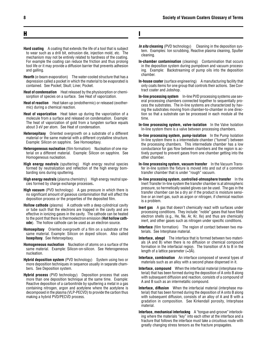#### **H**

- **Hard coating** A coating that extends the life of a tool that is subject to wear such as a drill bit, extrusion die, injection mold, etc. The mechanism may not be entirely related to hardness of the coating. For example the coating can reduce the friction and thus prolong tool life or it may provide a diffusion barrier that prevents adhesion and galling.
- **Hearth** (e-beam evaporation) The water-cooled structure that has a depression called a pocket in which the material to be evaporated is contained. See Pocket; Skull; Liner, Pocket.
- **Heat of condensation** Heat released by the physisorption or chemisorption of species on a surface. See Heat of vaporization.
- Heat of reaction Heat taken up (endothermic) or released (exothermic) during a chemical reaction.
- **Heat of vaporization** Heat taken up during the vaporization of a molecule from a surface and released on condensation. Example: The heat of vaporization of gold from a tungsten surface equals about 3 eV per atom. See Heat of condensation.
- **Heteroepitaxy** Oriented overgrowth on a substrate of a different material or the same material with a different crystalline structure. Example: Silicon on sapphire. See Homoepitaxy.
- **Heterogeneous nucleation** (film formation) Nucleation of one material on a different material. Example: Silicon on sapphire. See Homogeneous nucleation.
- **High energy neutrals** (sputtering) High energy neutral species formed by neutralization and reflection of the high energy bombarding ions during sputtering.
- **High energy neutrals** (plasma chemistry) High energy neutral species formed by charge exchange processes**.**
- **High vacuum** (PVD technology) A gas pressure in which there is no significant amount of gaseous contamination that will affect the deposition process or the properties of the deposited film.
- **Hollow cathode** (plasma) A cathode with a deep cylindrical cavity or tube such that the electrons are trapped in the cavity and are effective in ionizing gases in the cavity. The cathode can be heated to the point that there is thermoelectron emission (**Hot hollow cathode**). The hollow cathode can be used as an electron source.
- **Homoepitaxy** Oriented overgrowth of a film on a substrate of the same material. Example: Silicon on doped silicon. Also called **Isoepitaxy**. See Heteroepitaxy.
- **Homogeneous nucleation** Nucleation of atoms on a surface of the same material. Example: Silicon-on-silicon. See Heterogeneous nucleation.
- **Hybrid deposition system** (PVD technology) System using two or more deposition techniques in sequence usually in separate chambers. See Deposition system.
- **Hybrid process** (PVD technology) Deposition process that uses more than one deposition technique at the same time. Example: Reactive deposition of a carbonitride by sputtering a metal in a gas containing nitrogen, argon and acetylene where the acetylene is decomposed in the plasma (VLP-PECVD) to provide the carbon thus making a hybrid PVD/PECVD process.

**I**

- **In situ cleaning** (PVD technology) Cleaning in the deposition system. Examples: Ion scrubbing, Reactive plasma cleaning, Sputter cleaning.
- **In-chamber contamination** (cleaning) Contamination that occurs in the deposition system during pumpdown and vacuum processing. Example: Backstreaming of pump oils into the deposition chamber.
- **In-house coater** (surface engineering) A manufacturing facility that only coats items for one group that controls their actions. See Contract coater and Jobshop.
- **In-line processing system** In-line PVD processing systems use several processing chambers connected together to sequentially process the substrates. The in-line systems are characterized by having the substrates moving from chamber-to-chamber in one direction so that a substrate can be processed in each module all the time.
- **In-line processing system, valve-isolation** In the Valve Isolation In-line system there is a valve between processing chambers.
- **In-line processing system, pump-isolation** In the Pump Isolation In-line system there is a intermediate chamber ("tunnel") between the processing chambers. This intermediate chamber has a low conductance for gas flow between chambers and the region is actively pumped to prevent gases from one chamber getting into the other chamber.
- **In-line processing system, vacuum transfer** In the Vacuum Transfer in-line system the fixture is moved into and out of a common transfer chamber that is under "rough" vacuum.
- **In-line processing system, controlled-atmosphere transfer** In the Inert Transfer In-line system the transfer chamber is at atmospheric pressure, so hermetically sealed gloves can be used. The gas in the transfer chamber can be a dry air if the product is moisture sensitive or an inert gas, such as argon or nitrogen, if chemical reaction is a problem.
- **Inert gas** A gas that doesn't chemically react with surfaces under processing conditions. They include: "noble" gases that have filled electron shells (e.g., He, Ne, Ar, Kr, Xe) and thus are chemically inert, and other gases such as nitrogen under specific conditions.
- **Interface** (film formation) The region of contact between two materials. See Interphase material.
- **Interface, abrupt** The interface that is formed between two materials (A and B) when there is no diffusion or chemical compound formation in the interfacial region. The transition of A to B in the length of a lattice parameter ( $\approx 3\text{\AA}$ ).
- **Interface, combination** An interface composed of several types of materials such as an alloy with a second phase dispersed in it.
- **Interface, compound** When the interfacial material (interphase material) that has been formed during the deposition of A onto B along with subsequent diffusion and reaction, consists of a compound of A and B such as an intermetallic compound.
- **Interface, diffusion** When the interfacial material (interphase material) that has been formed during the deposition of A onto B along with subsequent diffusion, consists of an alloy of A and B with a gradation in composition. See Kirkendall porosity, Interphase material.
- **Interface, mechanical interlockng** A "tongue-and-groove" interlocking where the materials "key" into each other at the interface and a fracture that follows the interface must take a circuitous route with greatly changing stress tensors as the fracture propagates.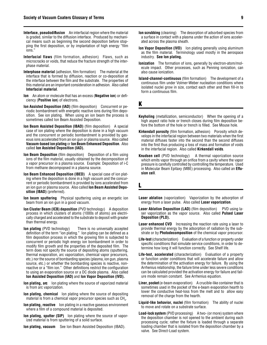- **Interface, pseudodiffusion** An interfacial region where the material is graded, similar to the diffusion interface. Produced by mechanical means such as beginning the second deposition before stopping the first deposition, or by implantation of high energy "film ions."
- **Interfacial flaws** (film formation, adhesion) Flaws, such as microcracks or voids, that reduce the fracture strength of the interphase material.
- **Interphase material** (adhesion, film formation) The material at the interface that is formed by diffusion, reaction or co-deposition at the interface between the film and the substrate. The properties of this material are an important consideration in adhesion. Also called **Interfacial material**.
- **Ion** An atom or molecule that has an excess (**Negative ion**) or deficiency (**Positive ion**) of electrons.
- **Ion Assisted Deposition (IAD)** (film deposition) Concurrent or periodic bombardment with energetic reactive ions during film deposition. See ion plating. When using an ion beam the process is sometimes called Ion Beam Assisted Deposition.
- **Ion Beam Assisted Deposition (IBAD)** (film deposition) A special case of ion plating where the deposition is done in a high vacuum and the concurrent or periodic bombardment is provided by gaseous ions accelerated from an ion gun or plasma source. Also called **Vacuum-based ion plating** or **Ion Beam Enhanced Deposition**. Also called **Ion Assisted Deposition (IAD).**
- **Ion Beam Deposition** (film deposition) Deposition of a film using ions of the film material, usually obtained by the decomposition of a vapor precursor in a plasma source. Example: Deposition of i-C from methane decompopsed in a plasma source.
- **Ion Beam Enhanced Deposition (IBED)** A special case of ion plating where the deposition is done in a high vacuum and the concurrent or periodic bombardment is provided by ions accelerated from an ion gun or plasma source. Also called **Ion Beam Assisted Deposition (IBAD)** (preferred).
- **Ion beam sputtering** Physical sputtering using an energetic ion beam from an ion gun in a good vacuum.
- **Ion Cluster Beam (ICB) deposition** (PVD technology) A deposition process in which clusters of atoms (1000s of atoms) are electrically charged and accelerated to the substrate to deposit with greater than thermal energy.
- **Ion plating** (PVD technology) There is no universally accepted definition of the term "ion plating." Ion plating can be defined as a film deposition process in which the growing film is subjected to concurrent or periodic high energy ion bombardment in order to modify film growth and the properties of the deposited film. The term does not specify the source of depositing atoms (sputtering, thermal evaporation, arc vaporization, chemical vapor precursors, etc.) nor the source of bombarding species (plasma, ion gun, plasma source, etc.) or whether the bombarding species is reactive, nonreactive or a "film ion." Other definitions restrict the configuration to using an evaporation source or a DC diode plasma. Also called **Ion Assisted Deposition (IAD)** and **Ion Vapor Deposition (IVD).**
- **Ion plating, arc** Ion plating where the source of vaporized material is from arc vaporization.
- **Ion plating, chemical** Ion plating where the source of depositing material is from a chemical vapor precursor species such as  $\mathtt{CH}_4$ .
- **Ion plating, reactive** Ion plating in a reactive gaseous environment where a film of a compound material is deposited.
- **Ion plating, sputter (SIP)** Ion plating where the source of vaporized material is from sputtering of a solid surface.
- **Ion plating, vacuum** See Ion Beam Assisted Deposition (IBAD).
- **Ion scrubbing** (cleaning) The desorption of adsorbed species from a surface in contact with a plasma under the action of ions accelerated across the plasma sheath.
- **Ion Vapor Deposition (IVD)** Ion plating generally using aluminum as the film material. Terminology used mostly in the aerospace industry. **See Ion plating.**
- **Ionization** The formation of ions, generally by electron-atom/molecule impact. Other processes, such as Penning ionization, can also cause ionization.
- **Island-channel-continuous** (film formation) The development of a continuous film under Volmer-Weber nucleation conditions where isolated nuclei grow in size, contact each other and then fill-in to form a continuous film.
- **K**
- **Keyholing** (metallization, semiconductor) When the opening of a high aspect ratio hole or trench closes during film deposition before the bottom of the hole or trench is filled. See Mouse hole.
- **Kirkendall porosity** (film formation, adhesion) Porosity which develops in the interfacial region between two materials when the first material diffuses faster into the second than the second diffuses into the first thus producing a loss of mass and formation of voids in the interfacial region. Also called **Kirkendall voids**.
- **Knudsen cell** (PVD technology) A thermal vaporization source which emits vapor through an orifice from a cavity where the vapor pressure is carefully controlled by controlling the temperature. Used in Molecular Beam Epitaxy (MBE) processing. Also called an **Effusion cell**.

#### **L**

- **Laser ablation** (vaporization) Vaporization by the adsorption of energy from a laser pulse. Also called **Laser vaporization**.
- **Laser Ablation Deposition (LAD)** (film deposition) PVD using laser vaporization as the vapor source. Also called **Pulsed Laser Deposition (PLD).**
- **Laser enhanced CVD** Increasing the reaction rate using a laser to provide thermal energy by the adsorption of radiation by the substrate or by **Photodecomposition** of the chemical vapor precursor.
- **Life-test** (characterization) Evaluation of a function or property under specific conditions that simulate service conditions, in order to determine how long it will function correctly. See Shelf life.
- **Life-test, accelerated** (characterization) Evaluation of a property or function under conditions that will accelerate failure and allow the determination of the activation energy for failure. By using the Arrhenius relationship, the failure time under less severe conditions can be calculated provided the activation energy for failure and failure mode remain constant. See Arrhenius equation.
- **Liner, pocket** (e-beam evaporation) A crucible-like container that is sometimes used in the pocket of the e-beam evaporation hearth to lower the conductive heat-loss from the melt and to allow easy removal of the charge from the hearth.
- **Liquid-like behavior, nuclei** (film formation) The ability of nuclei to move and rotate on a substrate surface.
- **Load-lock system** (PVD processing) A two- (or more) system where the deposition chamber is not opened to the ambient during each processing cycle; rather the fixture is loaded through a separate loading chamber that is isolated from the deposition chamber by a valve. See Direct-Load system.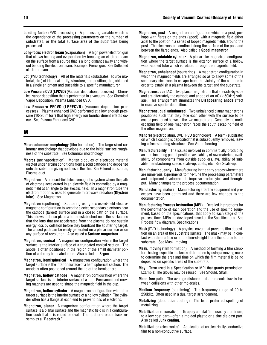- **Loading factor** (PVD processing) A processing variable which is the dependence of the processing parameters on the number of substrates, or the total surface area of the substrates being processed.
- **Long-focus electron beam** (evaporation) A high power electron gun that allows heating and evaporation by focusing an electron beam on the surface from a source that is a long distance away and without bending the electron beam. Example: Pierce gun. See Deflected electron beam.
- **Lot** (PVD technology) All of the materials (substrates, source material, etc.) of identical purity, structure, composition, etc., obtained in a single shipment and traceable to a specific manufacturer.
- **Low Pressure CVD (LPCVD)** (Vacuum deposition processes) Chemical vapor deposition that is performed in a vacuum. See Chemical Vapor Deposition, Plasma Enhanced CVD.
- **Low Pressure PECVD (LPPECVD)** (vacuum deposition processes) Plasma enhanced CVD performed at a low enough pressure (10-20 mTorr) that high energy ion bombardment effects occur. See Plasma Enhanced CVD.

#### **M**

- **Macrocolumnar morphology** (film formation) The large-sized columnar morphology that develops due to the initial surface roughness of the substrate. See Columnar morphology.
- **Macros** (arc vaporization) Molten globules of electrode material ejected under arcing conditions from a solid cathode and deposited onto the substrate giving nodules in the film. See Filtered arc source, Plasma duct.
- **Magnetron** A crossed-field electromagnetic system where the path of electrons accelerated in an electric field is controlled by a magnetic field at an angle to the electric field. In a magnetron tube the electron motion is used to generate microwave radiation (**Klystron tube**). See Magnetron.
- **Magnetron** (sputtering) Sputtering using a crossed-field electromagnetic configuration to keep the ejected secondary electrons near the cathode (target) surface and in a closed path on the surface. This allows a dense plasma to be established near the surface so that the ions that are accelerated from the plasma do not sustain energy loss by collision before they bombard the sputtering target. The closed path can be easily generated on a planar surface or on any surface of revolution. Also called a **Surface magnetron**.
- **Magnetron, conical** A magnetron configuration where the target surface is the interior surface of a truncated conical section. The anode is often positioned in the region of the small diameter portion of a doubly truncated cone. Also called an **S-gun**.
- **Magnetron, hemispherical** A magnetron configuration where the target surface is the interior surface of a hemispherical section. The anode is often positioned around the lip of the hemisphere.
- **Magnetron, hollow cathode** A magnetron configuration where the target surface is the interior surface of a cup. Permanent and moving magnets are used to shape the magnetic field in the cup.
- **Magnetron, hollow cylinder** A magnetron configuration where the target surface is the interior surface of a hollow cylinder. The cylinder often has a flange at each end to prevent loss of electrons.
- **Magnetron, planar** A magnetron configuration where the target surface is a planar surface and the magnetic field is in a configuration such that it is round or oval. The sputter-erosion track resembles a "**Racetrack**."
- **Magnetron, post** A magnetron configuration which is a post, perhaps with flares on the ends (spool), with a magnetic field either axial to the post or in a series of looped magnetic fields around the post. The electrons are confined along the surface of the post and between the flared ends. Also called a **Spool magnetron**.
- **Magnetron, rotatable cylinder** A planar-like magnetron configuration where the target surface is the exterior surface of a hollow water-cooled tube which is rotated through the magnetic field.
- **Magnetron, unbalanced** (sputtering) A magnetron configuration in which the magnetic fields are arranged so as to allow some of the secondary electrons to escape from the vicinity of the cathode in order to establish a plasma between the target and the substrate.
- **Magnetrons, dual AC** Two planar magnetrons that are side-by-side and are alternately the cathode and anode of an AC (< 50kHz) voltage. This arrangement eliminates the **Disappearing anode** effect in reactive sputter deposition.
- **Magnetrons, dual unbalanced** Two unbalanced planar magnetrons positioned such that they face each other with the surface to be coated positioned between the two magnetrons. Generally the north escaping field of one magnetron faces the south escaping field of the other magnetron.
- **Mandrel** (electroplating, CVD, PVD technology) A form (substrate) on which a coating is deposited that is subsequently removed, leaving a free-standing structure. See Vapor forming.
- **Manufacturability** The issues involved in commercially producing an item including patent position, availability of raw materials, availability of components from outside suppliers, availability of suitable manufacturing space, scale-up, costs, etc. See Scale-up.
- **Manufacturing, early** Manufacturing in the early stages where there are numerous experiments to fine-tune the processing parameters and equipment development to improve product yield and throughput. Many changes to the process documentation.
- **Manufacturing, mature** Manufacturing after the equipment and processes have been optimized and there are few changes to the documentation.
- **Manufacturing Process Instruction (MPI)** Detailed instructions for the performance of each operation and the use of specific equipment, based on the specifications, that apply to each stage of the process flow. MPIs are developed based on the Specifications. See Process flow diagram, Specifications
- **Mask** (PVD technology) A physical cover that prevents film deposition on an area of the substrate surface. The mask may be in contact with the surface or in the line-of-sight from the source to the substrate. See Mask, moving.
- **Mask, moving** (film formation) A method of forming a film structure having a specific thickness distribution by using a moving mask to determine the area and time on which the film material is being deposited on specific areas of the substrate.
- **May** Term used in a Specification or MPI that grants permission**.** Example: The gloves may be reused. See Should, Shall.
- **Mean free path** The average distance that a molecule travels between collisions with other molecules.
- **Medium frequency** (sputtering) The frequency range of 20 to 250kHz. Often used in a dual target arrangement.
- **Metalizing** (decorative coating) The least preferred spelling of metallizing.
- **Metallization** (decorative) To apply a metal film, usually aluminum, to a low cost part—often a molded plastic or a zinc die-cast part. Also called **Junk coating**.
- **Metallization** (electronics) Application of an electrically conductive film to a non-conductive surface.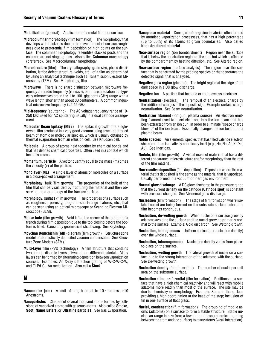**Metallization** (general) Application of a metal film to a surface.

- **Microcolumnar morphology** (film formation) The morphology that develops with thickness due to the development of surface roughness due to preferential film deposition on high points on the surface. The columnar morphology resembles stacked posts and the columns are not single grains. Also called **Columnar morphology** (preferred). See Macrocolumnar morphology.
- **Microstructure** (film) The crystallography, grain size, phase distribution, lattice defect structure, voids, etc., of a film as determined by using an analytical technique such as Transmission Electron Microscopy (TEM). See Morphology, film.
- **Microwave** There is no sharp distinction between microwave frequency and radio frequency (rf) waves or infrared radiation but typically microwaves are in the 1 to 100 gigahertz (GHz) range with a wave length shorter than about 30 centimeters. A common industrial microwave frequency is 2.45 GHz.
- **Mid-frequency** (sputtering) The AC voltage frequency range of 10- 250 kHz used for AC sputtering usually in a dual cathode arrangement.
- **Molecular Beam Epitaxy (MBE)** The epitaxial growth of a singlecrystal film produced in a very good vacuum using a well-controlled beam of atomic or molecular species, which is usually obtained by thermal evaporation from an effusion cell. See Knudsen cell.
- **Molecule** A group of atoms held together by chemical bonds and that has defined chemical properties. Often used in a context which includes atoms.
- **Momentum, particle** A vector quantity equal to the mass (m) times the velocity (v) of the particle.
- **Monolayer (ML)** A single layer of atoms or molecules on a surface in a close-packed arrangement.
- **Morphology, bulk** (film growth) The properties of the bulk of the film that can be visualized by fracturing the material and then observing the morphology of the fracture surface**.**
- **Morphology, surface** (film growth) The properties of a surface such as roughness, porosity, long and short-range features, etc., that can be seen using an optical microscope or Scanning Electron Microscope (SEM).
- **Mouse hole** (film growth) Void left at the corner of the bottom of a trench during film deposition due to the top closing before the bottom is filled. Caused by geometrical shadowing. See Keyholing.
- **Movchan Demchishin (MD) diagram** (film growth) Structure zone model of atomistically deposited vacuum condensates. See Structure Zone Models (SZM).
- **Multi-layer film** (PVD technology) A film structure that contains two or more discrete layers of two or more different materials. Many layers can be formed by alternating deposition between vaporization sources. Examples: An X-ray diffraction grating of W-C-W-C-W, and Ti-Pd-Cu-Au metallization. Also call a **Stack**.
- **N**
- **Nanometer (nm)** A unit of length equal to 10<sup>-9</sup> meters or10 Ångstroms.
- **Nanoparticles** Clusters of several thousand atoms formed by collisions of vaporized atoms with gaseous atoms. Also called **Smoke**, **Soot, Nanoclusters,** or **Ultrafine particles.** See Gas Evaporation.
- **Nanophase material** Dense, ultrafine-grained material, often formed by atomistic vaporization processess, that has a high percentage (up to 50%) of its atoms at grain boundaries. Also called **Nanostructured material**.
- **Near-surface region** (ion bombardment) Region near the surface that is below the penetration region of the ions but which is affected by the bombardment by heating diffusion, etc. See Altered region.
- **Near-surface region** (surface analysis) The region near the surface that is penetrated by the probing species or that generates the detected signal that is analyzed.
- **Negative glow region** (plasma) The bright region at the edge of the dark space in a DC glow discharge.
- **Negative ion** A particle that has one or more excess electrons.
- **Neutralization** (electrical) The removal of an electrical charge by the addition of charges of the opposite sign. Example: surface charge neutralization. See Beam neutralization.
- **Neutralizer filament** (ion gun, plasma source) An electron emitting filament used to inject electrons into the ion beam that has been extracted from an ion gun, in order to eliminate "space charge blowup" of the ion beam. Essentially changes the ion beam into a plasma beam.
- **Noble species** An elemental species that has filled valence electron shells and thus is relatively chemically inert (e.g., He, Ne, Ar, Kr, Xe, Au). See Inert gas.
- **Nodule, film** (film growth) A visual mass of material that has a different appearance, microstructure and/or morphology than the rest of the film material.
- **Non-reactive deposition** (film deposition) Deposition where the material that is deposited is the same as the material that is vaporized. Usually performed in a vacuum or inert gas environment
- **Normal glow discharge** A DC glow discharge in the pressure range that the current density on the cathode (**Cathode spot**) is constant with pressure changes. See Abnormal glow discharge.
- **Nucleation** (film formation) The stage of film formation where isolated nuclei are being formed on the substrate surface before the film becomes continuous.
- **Nucleation, de-wetting growth** When nuclei on a surface grow by adatoms avoiding the surface and the nuclei growing primarily normal to the surface. Example: Gold on carbon. See Wetting growth.
- **Nucleation, homogeneous** Uniform nucleation (nucleation density) over the whole surface.
- **Nucleation, inhomogeneous** Nucleation density varies from placeto-place on the surface.
- **Nucleation, wetting growth** The lateral growth of nuclei on a surface due to the strong interaction of the adatoms with the surface. See De-wetting growth.
- **Nucleation density** (film formation) The number of nuclei per unit area on the substrate surface.
- **Nucleation sites, preferential** (film formation) Positions on a surface that have a high chemical reactivity and will react with mobile adatoms more readily than most of the surface. The site may be due to chemistry or morphology. Example: Steps in the surface providing a high coordination at the base of the step; inclusion of tin in one surface of float glass.
- **Nuclei, condensation** (film formation) The grouping of mobile atoms (adatoms) on a surface to form a stable structure. Stable nuclei can range in size from a few atoms (strong chemical bonding between the atom and the surface) to many atoms (weak interaction).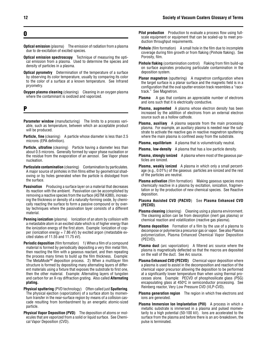#### **O**

- **Optical emission** (plasma) The emission of radiation from a plasma due to de-excitation of excited species.
- **Optical emission spectroscopy** Technique of measuring the optical emission from a plasma. Used to determine the species and density of particles in a plasma.
- **Optical pyrometry** Determination of the temperature of a surface by observing its color temperature, usually by comparing its color to the color of a surface at a known temperature. See Infrared pryometry.
- **Oxygen plasma cleaning** (cleaning) Cleaning in an oxygen plasma where the contaminant is oxidized and vaporized.

#### **P**

- **Parameter window** (manufacturing) The limits to a process variable, such as temperature, between which an acceptable product will be produced.
- **Particle, fine** (cleaning) A particle whose diameter is less than 2.5 microns (EPA definition).
- **Particle, ultrafine** (cleaning) Particle having a diameter less than about 0.5 microns. Generally formed by vapor phase nucleation or the residue from the evaporation of an aerosol. See Vapor phase nucleation.
- **Particulate contamination** (cleaning) Contamination by particulates. A major source of pinholes in thin films either by geometrical shadowing or by holes generated when the particle is dislodged from the surface.
- **Passivation** Producing a surface layer on a material that decreases its reaction with the ambient. Passivation can be accomplished by removing a reactive species from the surface (ASTM A380), increasing the thickness or density of a naturally-forming oxide, by chemically reacting the surface to form a passive compound or by overlay techniques where the passivation layer consists of a different material.
- **Penning ionization** (plasma) lonization of an atom by collision with a metastable atom in an excited state which is of higher energy than the ionization energy of the first atom. Example: Ionization of copper (ionization energy = 7.86 eV) by excited argon (metastable excited states of 11.55 and 11.75 eV).
- **Periodic deposition** (film formation) 1) When a film of a compound material is formed by periodically depositing a very thin metal film, then reacting the film with a gaseous reactant, and then repeating the process many times to build up the film thickness. Example: The MetaMode™ deposition process. 2) When a multilayer film structure is formed by depositing many alternating layers of different materials using a fixture that exposes the substrate to first one, then the other material. Example: Alternating layers of tungsten and carbon for an X-ray diffraction grating. Also called **Alternating plating.**
- **Physical sputtering** (PVD technology) Often called just **Sputtering**. The physical ejection (vaporization) of a surface atom by momentum transfer in the near-surface region by means of a collision cascade resulting from bombardment by an energetic atomic-sized particle.
- **Physical Vapor Deposition (PVD)** The deposition of atoms or molecules that are vaporized from a solid or liquid surface. See Chemical Vapor Deposition (CVD).
- **Pilot production** Production to evaluate a process flow using fullscale equipment or equipment that can be scaled-up to meet production throughput requirements.
- **Pinhole** (film formation) A small hole in the film due to incomplete coverage during film growth or from flaking (Pinhole flaking). See Porosity, film.
- **Pinhole flaking** (contamination control) Flaking from film build-up on surface aspirates producing particulate contamination in the deposition system.
- **Planar magnetron** (sputtering) A magnetron configuration where the target surface is a planar surface and the magnetic field is in a configuration that the oval sputter-erosion track resembles a "racetrack." See Magnetron.
- **Plasma** A gas that contains an appreciable number of electrons and ions such that it is electrically conductive.
- **Plasma, augmented** A plasma whose electron density has been increased by the addition of electrons from an external electron source such as a hollow cathode.
- **Plasma, auxiliary** A plasma separate from the main processing plasma. For example, an auxiliary plasma is needed near the substrate to activate the reactive gas in reactive magnetron sputtering where the main plasma is confined away from the substrate.
- **Plasma, equilibrium** A plasma that is volumetrically neutral.
- **Plasma, low-density** A plasma that has a low particle density.
- **Plasma, strongly ionized** A plasma where most of the gaseous particles are ionized.
- **Plasma, weakly ionized** A plasma in which only a small percentage (e.g., 0.01%) of the gaseous particles are ionized and the rest of the particles are neutral.
- **Plasma activation** (film formation) Making gaseous species more chemically reactive in a plasma by excitation, ionization, fragmentation or by the production of new chemical species. See Reactive deposition.
- **Plasma Assisted CVD (PACVD**) See **Plasma Enhanced CVD (PECVD)**.
- **Plasma cleaning** (cleaning) Cleaning using a plasma environment. The cleaning action can be from desorption (inert gas plasma) or chemical reaction and volatilization (reactive gas plasma).
- **Plasma deposition** Formation of a film by the use of a plasma to decompose or polymerize a precursor gas or vapor. See also Plasma polymerization, Plasma Enhanced Chemical Vapor Deposition (PECVD).
- **Plasma duct** (arc vaporization) A filtered arc source where the plasma is magnetically deflected so that the macros are deposited on the wall of the duct. See Arc source.
- **Plasma Enhanced CVD (PECVD)** Chemical vapor deposition where a plasma is used to assist in the decomposition and reaction of the chemical vapor precursor allowing the deposition to be performed at a significantly lower temperature than when using thermal processes alone. Example: PECVD of phosphosilicate glass (PSG) encapsulating glass at 450°C in semiconductor processing. See Reinberg reactor, Very Low Pressure CVD (VLP-CVD).
- **Plasma generation region** The region in which free electrons and ions are generated.
- **Plasma Immersion Ion Implantation (PIII)** A process in which a metallic substrate is immersed in a plasma and pulsed momentarily to a high potential (50-100 kV). Ions are accelerated to the surface from the plasma and before there is an arc-breakdown, the pulse is terminated.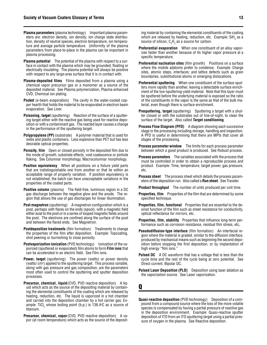- **Plasma parameters** (plasma technology) Important plasma parameters are: electron density, ion density, ion charge state distribution, density of neutral species, electron temperature, ion temperature and average particle temperature. Uniformity of the plasma parameters from place-to-place in the plasma can be important in plasma processing.
- **Plasma potential** The potential of the plasma with respect to a surface in contact with the plasma which may be grounded, floating or electrically insulating. The plasma potential will always be positive with respect to any large-area surface that it is in contact with.
- **Plasma-deposited films** Films deposited from a plasma using a chemical vapor precursor gas or a monomer as a source of the deposited material. See Plasma polymerization, Plasma enhanced CVD, Chemical ion plating.
- **Pocket** (e-beam evaporation) The cavity in the water-cooled copper hearth that holds the material to be evaporated in electron beam evaporation. See Liner.
- **Poisoning, target** (sputtering) Reaction of the surface of a sputtering target either with the reactive gas being used for reactive deposition or with a contaminant gas. The reacted layer causes a change in the performance of the sputtering target.
- **Polypropylene (PP)** (substrate) A polymer material that is used for webs and plastic containers. Less expensive than PET but has less desirable optical properties.
- **Porosity, film** Open or closed porosity in the deposited film due to the mode of growth, substrate effects, void coalescence or pinhole flaking. See Columnar morphology, Macrocolumnar morphology.
- **Position equivalency** When all positions on a fixture yield parts that are indistinguishable one from another or that lie within an acceptable range of property variation. If position equivalency is not established, the batch can have unacceptable variations in the properties of the coated parts.
- **Positive column** (plasma) The field-free, luminous region in a DC gas discharge between the negative glow and the anode. The region that allows the use of gas discharges for linear illumination.
- **Post magnetron** (sputtering) A magnetron configuration which is a post, perhaps with flares on the ends (spool), with a magnetic field either axial to the post or in a series of looped magnetic fields around the post. The electrons are confined along the surface of the post and between the flared ends.See Magnetron.
- **Postdeposition treatments** (film formation) Treatments to change the properties of the film after deposition. Example: Topcoating, shot peening or burnishing to close porosity.
- **Postvaporization ionization** (PVD technology) Ionization of the vaporized (sputtered or evaporated) film atoms to form **Film ions** that can be accelerated in an electric field. See Film ions.
- **Power, target** (sputtering) The power (watts) or power density (watts/ cm2 ) applied to the sputtering target. This process variable, along with gas pressure and gas composition, are the parameters most often used to control the sputtering and sputter deposition processes.
- **Precursor, chemical, liquid (CVD, PVD reactive deposition)** A liquid which acts as the source of the depositing material by containing the elemental constituents of the coating which are released by heating, reduction, etc. The liquid is vaporized in a hot chamber and carried into the deposition chamber by a hot carrier gas. Example: TiCl $_4$  whose boiling point (b.p.) is 136.4°C as a source of titanium.
- **Precursor, chemical, vapor** (CVD, PVD reactive deposition) A vapor (at room temperature) which acts as the source of the deposit-

ing material by containing the elemental constituents of the coating which are released by heating, reduction, etc. Example:  $SiH<sub>4</sub>$  as a source of silicon,  $\textsf{C}_\textsf{2}\textsf{H}_\textsf{2}$  as a source for carbon.

- **Preferential evaporation** When one constituent of an alloy vaporizes faster than another because of its higher vapor pressure at a specific temperature.
- **Preferential nucleation sites** (film growth) Positions on a surface where the mobile adatoms prefer to condense. Example: Charge sites, atomic steps, interfaces; and lattice defects such as grain boundaries, substitutional atoms or emerging dislocations.
- **Preferential sputtering** When one constituent of the surface sputters more rapidly than another, leaving a detectable surface enrichment of the low-sputtering-yield material. Note that this layer must be sputtered before the underlying material is exposed so the ratio of the constituents in the vapor is the same as that of the bulk material, even though there is surface enrichment.
- **Presputtering, target** (sputtering) Sputtering a target with a shutter closed or with the substrates out of line-of-sight, to clean the surface of the target. Also called **Target conditioning**.
- **Process Flow Diagram (PFD)** A diagram showing each successive stage in the processing including storage, handling and inspection. A PFD is useful in determining that there are MPIs that cover all stages of the processing.
- **Process parameter window** The limits for each process parameter between which a good product is produced. See Robust process.
- **Process parameters** The variables associated with the process that must be controlled in order to obtain a reproducible process and product. Example: Time, temperature, target power, gas pressure, etc.
- **Process sheet** The process sheet which details the process parameters of the deposition run. Also called a **Run sheet**. See Traveler.
- **Product throughput** The number of units produced per unit time.
- **Properties, film** Properties of the film that are determined by some specified technique.
- **Properties, film, functional** Properties that are essential to the desired function of the film such as sheet resistance for conductivity, optical reflectance for mirrors, etc.
- **Properties, film, stability** Properties that influence long-term performance such as corrosion resistance, residual film stress, etc**.**
- **Pseudodiffusion-type interface** (film formation) An interfacial region where the material is graded, similar to the diffusion interface, produced by mechanical means such as beginning the second deposition before stopping the first deposition, or by implantation of high energy "film ions."
- **Pulsed DC** A DC waveform that has a voltage that is less than the cycle time and the rest of the cycle being at zero potential. See Direct current, Bipolar DC.
- **Pulsed Laser Deposition (PLD)** Deposition using laser ablation as the vaporization source. See Laser vaporization.
- **Q**

**Quasi-reactive deposition** (PVD technology) Deposition of a compound from a compound source where the loss of the more volatile species is compensated by having a partial pressure of reactive gas in the deposition environment. Example: Quasi-reactive sputter deposition of ITO from an ITO sputtering target using a partial pressure of oxygen in the plasma. See Reactive deposition.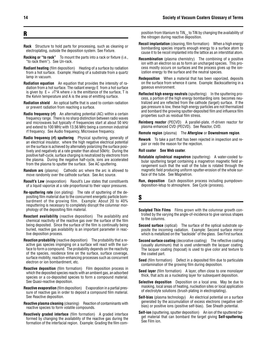#### **R**

- **Rack** Structure to hold parts for processing, such as cleaning or electroplating, outside the deposition system. See Fixture.
- **Racking or "to rack"** To mount the parts into a rack or fixture (i.e., "to rack them"). See Un-rack.
- **Radiant heating** (film deposition) Heating of a surface by radiation from a hot surface. Example: Heating of a substrate from a quartz lamp in vacuum.
- **Radiation equation** An equation that provides the intensity of radiation from a hot surface. The radiant energy E from a hot surface is given by  $E = \partial T^4$ A where  $\partial$  is the emittance of the surface, T is the Kelvin temperature and A is the area of emitting surface.
- **Radiation shield** An optical baffle that is used to contain radiation or prevent radiation from reaching a surface.
- **Radio frequency (rf)** An alternating potential (AC) within a certain frequency range. There is no sharp distinction between radio waves and microwaves but typically rf frequencies start at about 50 kHz and extend to 100 MHz with 13.56 MHz being a common industrial rf frequency. See Audio frequency, Microwave frequency.
- **Radio frequency (rf) sputtering** Physical sputtering, generally of an electrical insulator, where the high negative electrical potential on the surface is achieved by alternately polarizing the surface positively and negatively at a rate greater than about 50kHz. During the positive half-cycle, surface charging is neutralized by electrons from the plasma. During the negative half-cycle, ions are accelerated from the plasma to sputter the surface. See AC sputtering.
- **Random arc** (plasma) Cathodic arc where the arc is allowed to move randomly over the cathode surface. See Arc source.
- **Raoult's Law** (evaporation) Raoult's Law states that constituents of a liquid vaporize at a rate proportional to their vapor pressures.
- **Re-sputtering rate** (ion plating) The rate of sputtering of the depositing film material due to the concurrent energetic particle bombardment of the growing film. Example: About 20 to 40% resputtering is necessary to completely disrupt the columnar morphology of the depositing film material.
- **Reactant availability** (reactive deposition) The availability and chemical reactivity of the reactive gas over the surface of the film being deposited. Since the surface of the film is continually being buried, reactive gas availability is an important parameter in reactive deposition process.
- **Reaction probability** (reactive deposition) The probability that a reactive gas species impinging on a surface will react with the surface to form a compound. The probability depends on the reactivity of the species, residence time on the surface, surface coverage, surface mobility, reaction-enhancing processes such as concurrent electron or ion bombardment, etc.
- **Reactive deposition** (film formation) Film deposition process in which the deposited species reacts with an ambient gas, an adsorbed species or a co-deposited species to form a compound material. See Quasi-reactive deposition.
- **Reactive evaporation** (film deposition) Evaporation in a partial pressure of reactive gas in order to deposit a compound film material. See Reactive deposition.
- **Reactive plasma cleaning (cleaning) Reaction of contaminants with** reactive species to form volatile compounds.
- **Reactively graded interface** (film formation) A graded interface formed by changing the availability of the reactive gas during the formation of the interfacial region. Example: Grading the film com-

position from titanium to TiN<sub>1-x</sub> to TiN by changing the availability of the nitrogen during reactive deposition.

- **Recoil implantation** (cleaning, film formation) When a high energy bombarding species imparts enough energy to a surface atom to cause it to be recoil implanted into the lattice as an interstitial atom.
- **Recombination** (plasma chemistry) The combining of a positive ion with an electron so as to form an uncharged species. This process mostly occurs on surfaces and the process gives up the ionization energy to the surface and the neutral species.
- **Redeposition** When a material that has been vaporized, deposits on the surface from whence it came. Example: Backscattering in a gaseous environment.
- **Reflected high energy neutrals** (sputtering) In the sputtering process, a portion of the high energy bombarding ions becomes neutralized and are reflected from the cathode (target) surface. If the gas pressure is low, these high energy particles are not thermalized and bombard the growing sputter-deposited film and influence film properties such as residual film stress.
- **Reinberg reactor** (PECVD) A parallel-plate, rf-driven reactor for plasma enhanced CVD (PECVD). See Reactor, CVD.
- **Remote region** (plasma) The **Afterglow** or **Downstream region**.
- **Rework** To take a part that has been rejected in inspection and repair or redo the reason for the rejection.
- **Roll coater See Web coater**.
- **Rotatable cylindrical magnetron** (sputtering) A water-cooled tubular sputtering target containing a magnetron magnetic field arrangement such that the wall of the tube is rotated through the magnetic field producing uniform sputter-erosion of the whole surface of the tube. See Magnetron.
- **Run, deposition** Each deposition process including pumpdowndeposition-letup to atmosphere. See Cycle (process).

#### **S**

- **Sculpted Thin Films** Films grown with the columnar growth controlled by the varying the angle-of-incidence to give various shapes to the columns.
- **Second surface** (optical) The surface of the optical substrate opposite the incoming radiation. Example: Second surface mirror which is metallized on the "backside" of the glass. See First surface.
- **Second surface coating** (decorative coating) The reflective coating (usually aluminum) that is used underneath the lacquer coating. The lacquer coating (topcoat) is used to give color and texture to the coated part.
- **Seed** (film formation) Defect in a deposited film due to particulate contamination of the growing film during deposition.
- **Seed layer** (film formation) A layer, often close to one monolayer thick, that acts as a nucleating layer for subsequent deposition.
- **Selective deposition** Deposition on a local area. May be due to masking, local areas of heating, nucleation sites or local application of electrolyte solutions (brush plating in electroplating).
- **Self-bias** (plasma technology) An electrical potential on a surface generated by the accumulation of excess electrons (negative selfbias) or positive ions (positive self-bias). See Sheath potential.
- **Self-ion** (sputtering, sputter deposition) An ion of the sputtered target material that can bombard the target giving **Self-sputtering**. See Film ion.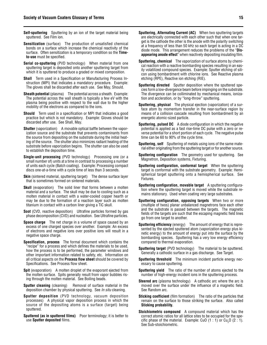- **Self-sputtering** Sputtering by an ion of the target material being sputtered. See Film ion.
- **Sensitization** (surface) The production of unsatisfied chemical bonds on a surface which increase the chemical reactivity of the surface. Often sensitization is a temporary condition so the **Timeto-use** must be specified.
- **Serial co-sputtering** (PVD technology) When material from one sputtering target is deposited onto another sputtering target from which it is sputtered to produce a graded or mixed composition.
- **Shall** Term used in a Specification or Manufacturing Process Instruction (MPI) that indicates a mandatory procedure. Example: The gloves shall be discarded after each use. See May, Should.
- **Sheath potential** (plasma) The potential across a sheath. Example: The potential across the wall sheath is typically a few eV with the plasma being positive with respect to the wall due to the higher mobility of the electrons as compared to the ions.
- **Should** Term used in a specification or MPI that indicates a good practice but which is not mandatory. Example: Gloves should be discarded after use. See Shall, May.
- **Shutter** (vaporization) A movable optical baffle between the vaporization source and the substrate that prevents contaminants from the source from depositing on the substrate during the initial heating of the source. The shutter also minimizes radiant heating of the substrate before vaporization begins. The shutter can also be used to establish the deposition time.
- **Single-unit processing** (PVD technology) Processing one (or a small number of) units at a time in contrast to processing a number of units each cycle (Batch coating). Example: Processing compact discs one-at-a-time with a cycle time of less than 3 seconds.
- **Skin** (sintered material, sputtering target) The dense surface layer that is sometimes formed on sintered materials.
- **Skull** (evaporation) The solid liner that forms between a molten material and a surface. The skull may be due to cooling such as a molten material in contact with a water-cooled copper hearth or may be due to the formation of a reaction layer such as molten titanium in contact with a carbon liner giving a TiC skull.
- **Soot** (CVD, reactive deposition) Ultrafine particles formed by gas phase decomposition (CVD) and nucleation. See Ultrafine particles.
- **Space charge** The net charge in a volume of space caused by an excess of one charged species over another. Example: An excess of electrons and negative ions over positive ions will result in a negative space charge.
- **Specification, process** The formal document which contains the "recipe" for a process and which defines the materials to be used, how the process is to be performed, the parameter windows and other important information related to safety, etc. Information on all critical aspects on the **Process flow sheet** should be covered by Specifications. See Process flow sheet.
- **Spit** (evaporation) A molten droplet of the evaporant ejected from the molten surface. Spits generally result from vapor bubbles rising through the molten material. See Boiling beads.
- **Sputter cleaning** (cleaning) Removal of surface material in the deposition chamber by physical sputtering. See In situ cleaning.
- **Sputter deposition** (PVD technology, vacuum deposition processes) A physical vapor deposition process in which the source of the depositing atoms is a surface (target) being sputtered.
- **Sputtered (as in sputtered films)** Poor terminology; it is better to use **Sputter deposited** films.
- **Sputtering, Alternating Current (AC)** When two sputtering targets are electrically connected with each other such that when one target is the cathode the other is the anode with the polarity switching at a frequency of less than 50 kHz so each target is acting in a DC diode mode. This arrangement reduces the problems of the "**Disappearing anode effect**" when reactively depositing insulating film.
- **Sputtering, chemical** The vaporization of surface atoms by chemical reaction with a reactive bombarding species resulting in an easily volatilized compound species. Example: Sputter etching of silicon using bombardment with chlorine ions. See Reactive plasma etching (RPE), Reactive ion etching (RIE).
- **Sputtering directed** Sputter deposition where the sputtered species form a low-divergence beam before impinging on the substrate. The divergence can be colliminated by mechanical means, ionization and accleration, or by "long-throw" sputtering.
- **Sputtering, physical** The physical ejection (vaporization) of a surface atom by momentum transfer in the near-surface region by means of a collision cascade resulting from bombardment by an energetic atomic-sized particle.
- **Sputtering, pulsed DC** A diode configuration in which the negative potential is applied as a fast rise-time DC pulse with a zero or reverse potential for a short portion of each cycle. The negative pulse time can be 60 to 90% of the cycle time.
- **Sputtering, self** Sputtering of metals using ions of the same material either originating from the sputtering target or for another source.
- **Sputtering configuration** The geometry used for sputtering. See Magnetron, Deposition systems, Fixturing.
- **Sputtering configuration, conformal target** When the sputtering target is conformal with the substrate geometry. Example: Hemispherical target sputtering onto a hemispherical surface. See Fixtures.
- **Sputtering configuration, movable target** A sputtering configuration where the sputtering target is moved while the substrate remains stationary. Used when coating very large substrates.
- **Sputtering configuration, opposing targets** When two or more (multiple of twos) planar unbalanced magnetrons face each other and the substrate is passed between the targets. The magnetic fields of the targets are such that the escaping magnetic field lines go from one target to another.
- **Sputtering efficiency** (energy) The amount of energy that is represented by the ejected sputtered atom (vaporization energy plus kinetic energy) to the amount of energy put into the surface by the bombarding species. Sputtering has a very low energy efficiency compared to thermal evaporation.
- **Sputtering target** (PVD technology) The material to be sputtered. Generally a cathodic surface in a gas discharge. See Target.
- **Sputtering threshold** The minimum incident particle energy necessary to cause sputtering.
- **Sputtering yield** The ratio of the number of atoms ejected to the number of high-energy incident ions in the sputtering process.
- **Steered arc** (plasma technology) A cathodic arc where the arc is moved over the surface under the influence of a magnetic field. See Random arc.
- **Sticking coefficient** (film formation) The ratio of the particles that remain on the surface to those striking the surface. Also called **Sticking probability.**
- **Stoichiometric compound** A compound material which has the correct atomic ratios for all lattice sites to be occupied for the specific phase of the material. Example: CuO  $(1:1)$  or Cu<sub>2</sub>O  $(2:1)$ . See Sub-stoichiometric.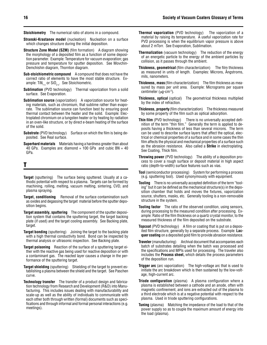**Stoichiometry** The numerical ratio of atoms in a compound.

- **Stranski-Krastanov model** (nucleation) Nucleation on a surface which changes structure during the initial deposition.
- **Structure Zone Model (SZM)** (film formation) A diagram showing the morphology of a deposited film as a function of some deposition parameter. Example: Temperature for vacuum evaporation; gas pressure and temperature for sputter deposition. See Movchin-Demchishin diagram, Thornton diagram.
- **Sub-stoichiometric compound** A compound that does not have the correct ratio of elements to have the most stable structure. Example: TiN<sub>1-x</sub> or SiO<sub>2-x</sub>. See Stoichiometric.
- **Sublimation** (PVD technology) Thermal vaporization from a solid surface. See Evaporation.
- **Sublimation source** (vaporization) A vaporization source for heating materials, such as chromium, that sublime rather than evaporate. The sublimation source can function best by ensuring good thermal contact between the heater and the solid. Example: Electroplated chromium on a tungsten heater or by heating by radiation in an oven-like structure, or by direct e-beam heating of the surface of the solid.
- **Substrate** (PVD technology) Surface on which the film is being deposited. See Real surface.
- **Superhard materials** Materials having a hardness greater than about 40 GPa. Examples are: diamond =  $100$  GPa and cubic BN = 40 GPa.

#### **T**

- **Target** (sputtering) The surface being sputtered. Usually at a cathodic potential with respect to a plasma. Targets can be formed by machining, rolling, melting, vacuum melting, sintering, CVD, and plasma spraying.
- **Target, conditioning** Removal of the surface contamination such as oxides and degassing the target material before the sputter deposition begins.
- **Target assembly, sputtering** The component of the sputter deposition system that contains the sputtering target, the target backing plate (if used) and the target cooling assembly. See Backing plate, target.
- **Target bonding** (sputtering) Joining the target to the backing plate with a high thermal conductivity bond. Bond can be inspected by thermal analysis or ultrasonic inspection. See Backing plate.
- **Target poisoning** Reaction of the surface of a sputtering target either with the reactive gas being used for reactive deposition or with a contaminant gas. The reacted layer causes a change in the performance of the sputtering target.
- **Target shielding** (sputtering) Shielding of the target to prevent establishing a plasma between the shield and the target. See Paschen curve.
- **Technology transfer** The transfer of a product design and fabrication technology from Research and Development (R&D) into Manufacturing. This includes issues dealing with manufacturability and scale-up as well as the ability of individuals to communicate with each other both through written (formal) documents such as specifications and through informal and formal personal interactions (e.g. meetings).
- **Thermal vaporization** (PVD technology) The vaporization of a material by raising its temperature. A useful vaporization rate for PVD processing is when the equilibrium vapor pressure is above about 2 mTorr. See Evaporation, Sublimation.
- **Thermalization** (vacuum technology) The reduction of the energy of an energetic particle to the energy of the ambient particles by collision, as it passes through the ambient.
- **Thickness, geometrical**(film characterization) The film thickness as measured in units of length. Examples: Microns, Ångstroms, mils, nanometers.
- **Thickness, mass** (film characterization) The film thickness as measured by mass per unit area. Example: Micrograms per square centimeter ( $\mu$ g-cm<sup>-2</sup>).
- **Thickness, optical** (optical) The geometrical thickness multiplied by the index of refraction.
- **Thickness, property** (film characterization) The thickness measured by some property of the film such as optical adsorption.
- **Thin film** (PVD technology) There is no universally accepted definition of the term "thin film." Generally the term is applied to deposits having a thickness of less than several microns. The term can be used to describe surface layers that affect the optical, electrical or chemical properties of a surface and in some cases the thin film affects the physical and mechanical properties of a surface such as the abrasion resistance. Also called a **Strike** in electroplating. See Coating, Thick film.
- **Throwing power** (PVD technology) The ability of a deposition process to cover a rough surface or deposit material in high aspect ratio (depth-to-width) surface features such as vias.
- **Tool** (semiconductor processing) System for performing a process (e.g. sputtering tool). Used synonymously with equipment.
- **Tooling** There is no universally accepted definition of the term "tooling" but it can be defined as the mechanical structure(s) in the deposition chamber that holds and moves the fixtures, vaporization source, shutters, masks, etc. Generally tooling is a non-removable structure in the system.
- **Tooling factor** The ratio of the observed condition, using sensors, during processing to the measured condition after processing. Example: Ratio of the film thickness on a quartz crystal monitor, to the measured thickness of the film deposited on the substrate.
- **Topcoat** (PVD technology) A film or coating that is put on a deposited film structure, generally by a separate process. Example: **Lacquer coating** on a deposited gold film to provide abrasion resistance.
- **Traveler**(manufacturing) Archival document that accompanies each batch of substrates detailing when the batch was processed and the specifications and MPIs used for processing. The traveler also includes the **Process sheet,** which details the process parameters of the deposition run.
- **Trigger arc** (arc vaporization) The high-voltage arc that is used to initiate the arc breakdown which is then sustained by the low-voltage, high-current arc.
- **Triode configuration** (plasma) A plasma configuration where a plasma is established between a cathode and an anode, often with magnetic confinement, and ions are extracted out of the plasma to a third electrode which is at a negative potential with respect to the plasma. Used in triode sputtering configurations.
- **Tuning** (plasma) Matching the impedance of the load to that of the power supply so as to couple the maximum amount of energy into the load (plasma).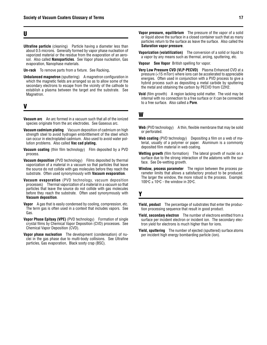#### **U**

- **Ultrafine particle** (cleaning) Particle having a diameter less than about 0.5 microns. Generally formed by vapor phase nucleation of vaporized material or the residue from the evaporation of an aerosol. Also called **Nanoparticles**. See Vapor phase nucleation, Gas evaporation, Nanophase materials.
- **Un-rack** To remove parts from a fixture. See Racking**.**
- **Unbalanced magnetron** (sputtering) A magnetron configuration in which the magnetic fields are arranged so as to allow some of the secondary electrons to escape from the vicinity of the cathode to establish a plasma between the target and the substrate. See Magnetron.

#### **V**

- **Vacuum arc** An arc formed in a vacuum such that all of the ionized species originate from the arc electrodes. See Gaseous arc.
- **Vacuum cadmium plating** Vacuum deposition of cadmium on high strength steel to avoid hydrogen embrittlement of the steel which can occur in electroplated cadmium. Also used to avoid water pollution problems. Also called **Vac cad plating.**
- **Vacuum coating** (thin film technology) Film deposited by a PVD process.
- **Vacuum deposition** (PVD technology) Films deposited by thermal vaporization of a material in a vacuum so that particles that leave the source do not collide with gas molecules before they reach the substrate. Often used synonymously with **Vacuum evaporation**.
- **Vacuum evaporation** (PVD technology, vacuum deposition processes) Thermal vaporization of a material in a vacuum so that particles that leave the source do not collide with gas molecules before they reach the substrate. Often used synonymously with **Vacuum deposition**.
- **Vapor** A gas that is easily condensed by cooling, compression, etc. The term gas is often used in a context that includes vapors. See Gas.
- **Vapor Phase Epitaxy (VPE)** (PVD technology) Formation of single crystal films by Chemical Vapor Deposition (CVD) processes. See Chemical Vapor Deposition (CVD).
- **Vapor phase nucleation** The development (condensation) of nuclei in the gas phase due to multi-body collisions. See Ultrafine particles, Gas evaporation, Black sooty crap (BSC).
- **Vapor pressure, equilibrium** The pressure of the vapor of a solid or liquid above the surface in a closed container such that as many particles return to the surface as leave the surface. Also called the **Saturation vapor pressure**.
- **Vaporization (volatilization)** The conversion of a solid or liquid to a vapor by any means such as thermal, arcing, sputtering, etc.
- **Vapour See Vapor** British spelling for vapor.
- **Very Low Pressure CVD (VLP-PECVD)** Plasma Enhanced CVD at a pressure (<15 mTorr) where ions can be accelerated to appreciable energies. Often used in conjunction with a PVD process to give a hybrid process such as depositing a metal carbide by sputtering the metal and obtaining the carbon by PECVD from C2H2.
- **Void** (film growth) A region lacking solid matter. The void may be internal with no connection to a free surface or it can be connected to a free surface. Also called a **Pore**.

#### **W**

- **Web** (PVD technology) A thin, flexible membrane that may be solid or perforated.
- **Web coating** (PVD technology) Depositing a film on a web of material, usually of a polymer or paper. Aluminum is a commonly deposited film material in web coating.
- **Wetting growth** (film formation) The lateral growth of nuclei on a surface due to the strong interaction of the adatoms with the surface. See De-wetting growth.
- **Window, process parameter** The region between the process parameter limits that allows a satisfactory product to be produced. The larger the window, the more robust is the process. Example: 100 $\degree$ C ± 10 $\degree$ C - the window in 20 $\degree$ C.

#### **Y**

- **Yield, product** The percentage of substrates that enter the production processing sequence that result in good product.
- **Yield, secondary electron** The number of electrons emitted from a surface per incident electron or incident ion. The secondary electron yield for electrons is much higher than for ions.
- **Yield, sputtering** The number of ejected (sputtered) surface atoms per incident high energy bombarding particle (ion).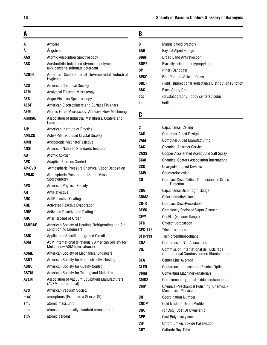#### **A A** Ampere **Å** Ångstrom **AAS** Atomic Adsorption Spectroscopy **ABS** Acrylonitrile-butadiene-styrene copolymer, alky-benzene-sulfonate detergent **ACGIH** American Conference of Governmental Industrial Hygienist **ACS** American Chemical Society **AEM** Analytical Electron Microscopy **AES** Auger Electron Spectroscopy **AESF** American Electroplaters and Surface Finishers **AFM** Atomic Force Microscopy, Abrasive Flow Machining **AIMCAL** Association of Industrial Metallizers, Coaters and Laminators, Inc. **AIP** American Institute of Physics **AMLCD** Active-Matrix Liquid Crystal Display **AMR** Anisotropic MagnetoResistive **ANSI** American National Standards Institute **AO** Atomic Oxygen **APC** Adaptive Process Control **AP-CVD** Atmospheric Pressure Chemical Vapor Deposition **APIMS** Atmospheric Pressure Ionization Mass Spectrometry **APS** American Physical Society **AR** AntiReflective **ARC** AntiReflective Coating **ARE** Activated Reactive Evaporation **ARIP** Activated Reactive Ion Plating **ARO** After Receipt of Order **ASHRAE** American Society of Heating, Refrigerating and Airconditioning Engineers **ASIC** Application Specific Integrated Circuit **ASM** ASM International (Previously American Society for Metals now ASM International) **ASME** American Society of Mechanical Engineers **ASNT** American Society for Nondestructive Testing **ASQC** American Society for Quality Control **ASTM** American Society for Testing and Materials **AVEM** Association of Vacuum Equipment Manufacturers (AVEM International) **AVS** American Vacuum Society  $\alpha$  (a) (a) amorphous (Example: a-Si or  $\alpha$ -Si) **amu** atomic mass unit **atm** atmosphere (usually standard atmosphere) **at%** atomic percent

| Magneic field (vector)                                  |
|---------------------------------------------------------|
| Bayard-Alpert Gauge                                     |
| <b>Broad Band Antireflection</b>                        |
| Biaxially oriented polypropylene                        |
| (filter) Bandpass                                       |
| BoroPhosphoSilicate Glass                               |
| (light) Bidirectional Reflectance Distribution Function |
| <b>Black Sooty Crap</b>                                 |
| (crystallography) body centered cubic                   |
| boiling point                                           |
|                                                         |

#### **C**

| C       | Capacitance, Ceiling                                                                  |
|---------|---------------------------------------------------------------------------------------|
| CAD     | <b>Computer Aided Design</b>                                                          |
| CAM     | <b>Computer Aided Manufacturing</b>                                                   |
| CAS     | <b>Chemical Abstract Service</b>                                                      |
| CASS    | Copper Accelerated Acetic Acid Salt Spray                                             |
| CCAI    | <b>Chemical Coaters Association International</b>                                     |
| CCD     | <b>Charged-Coupled Devices</b>                                                        |
| CCW     | Counterclockwise                                                                      |
| CD      | Compact Disc; Critical Dimension; or Cross<br>Direction                               |
| CDG     | Capacitance Diaphragm Gauge                                                           |
| CDMS    | Chlorodimethylsilane                                                                  |
| CD-R    | <b>Compact Disc-Recordable</b>                                                        |
| CEVC    | <b>Completely Enclosed Vapor Cleaner</b>                                              |
| CF™     | ConFlat (vacuum flange)                                                               |
| CFC     | Chlorofluorocarbon                                                                    |
| CFC-111 | Trichloroethane                                                                       |
| CFC-113 | Trichlorotrifluoroethane                                                              |
| CGA     | <b>Compressed Gas Association</b>                                                     |
| CIE     | Commission International de l'Eclairage<br>(International Comimssion on Illumination) |
| CLA     | <b>Center Line Average</b>                                                            |
| CLEO    | Conference on Laser and Electro-Optics                                                |
| CMM     | <b>Converting Machinery/Materials</b>                                                 |
| CMOS    | Complementary metal-oxide semiconductor                                               |
| CMP     | Chemical-Mechanical Polishing, Chemical-<br><b>Mechanical Planarization</b>           |
| CN      | <b>Coordination Number</b>                                                            |
| CNDP    | <b>Cold Neutron Depth Profile</b>                                                     |
| COO     | (or CoO) Cost Of Ownership                                                            |
| CPP     | Cast Polyproplylene                                                                   |
| CrP     | Chromium-rich oxide Passivation                                                       |
| CRT     | Cathode Ray Tube                                                                      |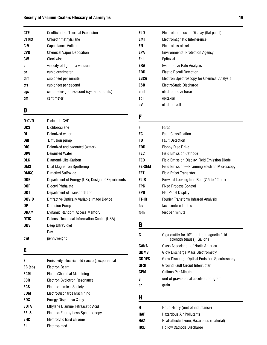| CTE         | Coefficient of Thermal Expansion         |
|-------------|------------------------------------------|
| <b>CTMS</b> | Chlorotrimethylsilane                    |
| C-V         | Capacitance-Voltage                      |
| CVD         | <b>Chemical Vapor Deposition</b>         |
| CW          | Clockwise                                |
| C           | velocity of light in a vacuum            |
| CC          | cubic centimeter                         |
| cfm         | cubic feet per minute                    |
| cfs         | cubic feet per second                    |
| cgs         | centimeter-gram-second (system of units) |
| cm          | centimeter                               |

#### **D**

| D-CVD        | Dielectric-CVD                                   |
|--------------|--------------------------------------------------|
| <b>DCS</b>   | Dichlorosilane                                   |
| DI           | Deionized water                                  |
| Diff         | Diffusion pump                                   |
| DIO          | Deionized and ozonated (water)                   |
| <b>DIW</b>   | <b>Deionized Water</b>                           |
| DLC          | Diamond-Like-Carbon                              |
| <b>DMS</b>   | <b>Dual Magnetron Sputtering</b>                 |
| <b>DMSO</b>  | Dimethyl Sulfoxide                               |
| <b>DOE</b>   | Department of Energy (US), Design of Experiments |
| <b>DOP</b>   | Dioctyl Phthalate                                |
| DOT.         | Department of Transportation                     |
| <b>DOVID</b> | Diffractive Optically Variable Image Device      |
| DP           | Diffusion Pump                                   |
| DRAM         | Dynamic Random Access Memory                     |
| <b>DTIC</b>  | Defense Technical Information Center (USA)       |
| <b>DUV</b>   | Deep UltraViolet                                 |
| d            | Day                                              |
| dwt          | pennyweight                                      |
|              |                                                  |

#### **E**

| Е          | Emissivity, electric field (vector), exponential |
|------------|--------------------------------------------------|
| $EB$ (eb)  | Electron Beam                                    |
| ECM        | ElectroChemical Machining                        |
| ECR        | Electron Cyclotron Resonance                     |
| <b>ECS</b> | Electrochemical Society                          |
| EDM        | ElectroDischarge Machining                       |
| EDX        | Energy Dispersive X-ray                          |
| EDTA       | Ethylene Diamine Tetraacetic Acid                |
| EELS       | Electron Energy Loss Spectroscopy                |
| EHC        | Electrolytic hard chrome                         |
| EL         | Electroplated                                    |

#### **ELD** Electroluminescent Display (flat panel) **EMI** Electromagnetic Interference **EN** Electroless nickel **EPA** Environmental Protection Agency **Epi** Epitaxial **ERA** Evaporative Rate Analysis **ERD** Elastic Recoil Detection **ESCA** Electron Spectroscopy for Chemical Analysis **ESD** ElectroStatic Discharge **emf** electromotive force **epi** epitaxial **eV** electron volt

#### **F**

| F      | Farad                                                      |
|--------|------------------------------------------------------------|
| FC     | <b>Fault Classification</b>                                |
| FD     | <b>Fault Detection</b>                                     |
| FDD    | Floppy Disc Drive                                          |
| FEC.   | <b>Field Emission Cathode</b>                              |
| FED    | Field Emission Display, Field Emission Diode               |
| FE-SEM | Field Emission—Scanning Electron Microscopy                |
| FET    | Field Effect Transistor                                    |
| FLIR   | Forward Looking InfraRed $(7.5 \text{ to } 12 \text{ µm})$ |
| FPC    | <b>Fixed Process Control</b>                               |
| FPD    | Flat Panel Display                                         |
| FT-IR  | <b>Fourier Transform Infrared Analysis</b>                 |
| fcc    | face centered cubic                                        |
| fpm    | feet per minute                                            |
|        |                                                            |

### **G**

| G     | Giga (suffix for $10^{\circ}$ ), unit of magnetic field<br>strength (gauss), Gallons |
|-------|--------------------------------------------------------------------------------------|
| GANA  | Glass Association of North America                                                   |
| GDMS  | Glow Discharge Mass Stectrometry                                                     |
| GDOES | Glow Discharge Optical Emission Spectroscopy                                         |
| GFSI  | Ground Fault Circuit Interrupter                                                     |
| GPM   | <b>Gallons Per Minute</b>                                                            |
| g     | unit of gravitational acceleration, gram                                             |
| gr    | grain                                                                                |
| Ш     |                                                                                      |

#### **H**

| н   | Hour, Henry (unit of inductance)         |
|-----|------------------------------------------|
| HAP | Hazardous Air Pollutants                 |
| HAZ | Heat-affected zone, Hazardous (material) |
| HCD | <b>Hollow Cathode Discharge</b>          |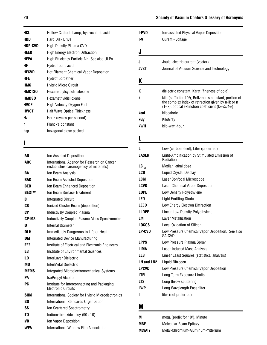| HCL            | Hollow Cathode Lamp, hydrochloric acid        |
|----------------|-----------------------------------------------|
| HDD            | <b>Hard Disk Drive</b>                        |
| <b>HDP-CVD</b> | High Density Plasma CVD                       |
| HEED           | <b>High Energy Electron Diffraction</b>       |
| HEPA           | High Efficiency Particle Air. See also ULPA.  |
| HF             | Hydrofluoric acid                             |
| <b>HFCVD</b>   | <b>Hot Filament Chemical Vapor Deposition</b> |
| HFE            | Hydrofluoroether                              |
| HMC            | <b>Hybrid Micro Circuit</b>                   |
| <b>HMCTSO</b>  | Hexamethylcyclotrisiloxane                    |
| <b>HMDSO</b>   | Hexamethyldisiloxane                          |
| <b>HVOF</b>    | High Velocity Oxygen Fuel                     |
| HWOT           | <b>Half Wave Optical Thickness</b>            |
| Hz             | Hertz (cycles per second)                     |
| h              | Planck's constant                             |
| hcp            | hexagonal close packed                        |
|                |                                               |

**I**

| IAD             | Ion Assisted Deposition                                                                 |
|-----------------|-----------------------------------------------------------------------------------------|
| <b>IARC</b>     | International Agency for Research on Cancer<br>(establishes carcinogenicy of materials) |
| IBA             | Ion Beam Analysis                                                                       |
| <b>IBAD</b>     | Ion Beam Assisted Deposition                                                            |
| <b>IBED</b>     | Ion Beam Enhanced Deposition                                                            |
| IBEST™          | Ion Beam Surface Treatment                                                              |
| IC              | <b>Integrated Circuit</b>                                                               |
| <b>ICB</b>      | Ionized Cluster Beam (deposition)                                                       |
| <b>ICP</b>      | <b>Inductively Coupled Plasma</b>                                                       |
| <b>ICP-MS</b>   | Inductively Coupled Plasma Mass Spectrometer                                            |
| ID              | <b>Internal Diameter</b>                                                                |
| <b>IDLH</b>     | Immediately Dangerous to Life or Health                                                 |
| <b>IDM</b>      | <b>Integrated Device Manufacturing</b>                                                  |
| <b>IEEE</b>     | Institute of Electrical and Electronic Engineers                                        |
| IES             | Institute of Environmental Sciences                                                     |
| ILD             | InterLayer Dielectric                                                                   |
| IMD             | InterMetal Dielectric                                                                   |
| <b>IMEMS</b>    | <b>Integrated Microelectromechanical Systems</b>                                        |
| <b>IPA</b>      | <b>IsoPropyl Alcohol</b>                                                                |
| <b>IPC</b>      | Institute for Interconnecting and Packaging<br><b>Electronic Circuits</b>               |
| <b>ISHM</b>     | International Society for Hybrid Microelectronics                                       |
| IS <sub>0</sub> | International Standards Organization                                                    |
| <b>ISS</b>      | Ion Scattered Spectrometry                                                              |
| ITO             | Indium-tin-oxide alloy (90 : 10)                                                        |
| <b>IVD</b>      | Ion Vapor Deposition                                                                    |
| <b>IWFA</b>     | International Window Film Association                                                   |

| I-PVD<br>I-V  | Ion-assisted Physical Vapor Deposition<br>Curent - voltage                                                                                                                                |
|---------------|-------------------------------------------------------------------------------------------------------------------------------------------------------------------------------------------|
|               |                                                                                                                                                                                           |
| J             |                                                                                                                                                                                           |
| J             | Joule, electric current (vector)                                                                                                                                                          |
| JVST          | Journal of Vacuum Science and Technology                                                                                                                                                  |
| K             |                                                                                                                                                                                           |
| K             | dielectric constant, Karat (fineness of gold)                                                                                                                                             |
| k             | kilo (suffix for $103$ ), Boltzman's constant, portion of<br>the complex index of refraction given by n-ik or n<br>(1-ik), optical extinction coefficient ( $k = \alpha \lambda / 4\pi$ ) |
| kcal          | kilocalorie                                                                                                                                                                               |
| kGy           | KiloGray                                                                                                                                                                                  |
| <b>kWH</b>    | kilo-watt-hour                                                                                                                                                                            |
|               |                                                                                                                                                                                           |
|               | Low (carbon steel), Liter (preferred)                                                                                                                                                     |
| <b>LASER</b>  | Light-Amplification by Stimulated Emission of<br>Radiation                                                                                                                                |
| $LC_{50}$     | Median lethal dose                                                                                                                                                                        |
| LCD           | Liquid Crystal Display                                                                                                                                                                    |
| LCM           | Laser Confocal Microscope                                                                                                                                                                 |
| LCVD          | Laser Chemical Vapor Deposition                                                                                                                                                           |
| LDPE          | Low Density Polyethylene                                                                                                                                                                  |
| LED           | <b>Light Emitting Diode</b>                                                                                                                                                               |
| LEED          | Low Energy Electron Diffraction                                                                                                                                                           |
| <b>LLDPE</b>  | Linear Low Density Polyethylene                                                                                                                                                           |
| LM            | Layer Metallization                                                                                                                                                                       |
| <b>LOCOS</b>  | <b>Local Oxidation of Silicon</b>                                                                                                                                                         |
| <b>LP-CVD</b> | Low Pressure Chemical Vapor Deposition. See also<br>SA-CVD.                                                                                                                               |
| <b>LPPS</b>   | Low Pressure Plasma Spray                                                                                                                                                                 |
| LIMA          | Laser-Induced Mass Analysis                                                                                                                                                               |
| <b>LLS</b>    | Linear Least Squares (statistical analysis)                                                                                                                                               |
| LN and LN2    | Liquid Nitrogen                                                                                                                                                                           |
| <b>LPCVD</b>  | Low Pressure Chemical Vapor Deposition                                                                                                                                                    |
| <b>LTEL</b>   | Long Term Exposure Limits                                                                                                                                                                 |
| LTS           | Long throw sputtering                                                                                                                                                                     |
| <b>LWP</b>    | Long Wavelength Pass filter                                                                                                                                                               |
| ı             | liter (not preferred)                                                                                                                                                                     |
|               |                                                                                                                                                                                           |

#### **M**

| М      | mega (prefix for $106$ ), Minute  |
|--------|-----------------------------------|
| MBE    | Molecular Beam Epitaxy            |
| MCrAIY | Metal-Chromium-Aluminum-Yitterium |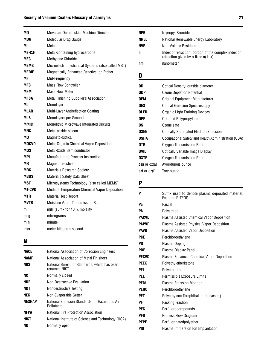| MD          | Movchan-Demchiskin, Machine Direction            |
|-------------|--------------------------------------------------|
| MDG         | Molecular Drag Gauge                             |
| Me          | Metal                                            |
| Me-C:H      | Metal-containing hydrocarbons                    |
| MEC         | Methylene Chloride                               |
| MEMS        | Microelectromechanical Systems (also called MST) |
| MERIE       | Magnetically Enhanced Reactive Ion Etcher        |
| ΜF          | Mid-Frequency                                    |
| MFC         | <b>Mass Flow Controller</b>                      |
| MFM         | <b>Mass Flow Meter</b>                           |
| MFSA        | Metal Finishing Supplier's Association           |
| ML          | Monolayer                                        |
| <b>MLAR</b> | Multi-Layer Antireflection Coating               |
| <b>MLS</b>  | Monolayers per Second                            |
| MMIC        | Monolithic Microwave Integrated Circuits         |
| MNS         | Metal-nitride-silicon                            |
| MO          | Magneto-Optical                                  |
| MOCVD       | Metal-Organic Chemical Vapor Deposition          |
| <b>MOS</b>  | Metal-Oxide Semiconductor                        |
| MPI         | Manufacturing Process Instruction                |
| ΜR          | Magnetoresistive                                 |
| MRS         | <b>Materials Research Society</b>                |
| <b>MSDS</b> | <b>Materials Safety Data Sheet</b>               |
| MST         | Microsystems Technology (also called MEMS)       |
| MT-CVD      | Medium Temperature Chemical Vapor Deposition     |
| MTR         | <b>Material Test Report</b>                      |
| <b>MVTR</b> | Moisture Vapor Transmission Rate                 |
| m           | milli (suffix for 10 <sup>-3</sup> ), molality   |
| mcg         | micrograms                                       |
| min         | minute                                           |
| mks         | meter-kilogram-second                            |

## **N**

| NACE          | National Association of Corrosion Engineers                  |
|---------------|--------------------------------------------------------------|
| NAMF          | National Association of Metal Finishers                      |
| <b>NBS</b>    | National Bureau of Standards, which has been<br>renamed NIST |
| NC.           | Normally closed                                              |
| <b>NDE</b>    | Non-Destructive Evaluation                                   |
| NDT           | Nondestructive Testing                                       |
| NEG           | Non-Evaporable Getter                                        |
| <b>NESHAP</b> | National Emission Standards for Hazardous Air<br>Pollutants  |
| NFPA          | National Fire Protection Association                         |
| <b>NIST</b>   | National Institute of Science and Technology (USA)           |
| NO            | Normally open                                                |
|               |                                                              |

| <b>NPB</b> | N-propyl Bromide                                                                                 |
|------------|--------------------------------------------------------------------------------------------------|
| NREL       | National Renewable Energy Laboratory                                                             |
| <b>NVR</b> | Non-Volatile Residues                                                                            |
| n          | Index of refraction, portion of the complex index of<br>refraction given by $n$ -ik or $n(1-ik)$ |
| nm         | nanometer                                                                                        |

# **O**

| OD                  | Optical Density; outside diameter                   |
|---------------------|-----------------------------------------------------|
| 0DP                 | Ozone Depletion Potential                           |
| OEM                 | Original Equipment Manufacturer                     |
| OES                 | <b>Optical Emission Spectroscopy</b>                |
| OLED                | <b>Organic Light Emitting Devices</b>               |
| 0PP.                | Oriented Polypropylene                              |
| OS                  | Ozone safe                                          |
| OSEE                | Optically Stimulated Electron Emission              |
| OSHA                | Occupational Safety and Health Administration (USA) |
| OTR                 | Oxygen Transmission Rate                            |
| OVID                | Optically Variable Image Display                    |
| OXTR                | Oxygen Transmission Rate                            |
| <b>oza</b> or oz(a) | Avoirdupois ounce                                   |
| <b>ozt</b> or oz(t) | Troy ounce                                          |

#### **P**

| P     | Suffix used to denote plasma deposited material.<br>Example P-TEOS. |
|-------|---------------------------------------------------------------------|
| Pa    | Pascal                                                              |
| PA    | Polyamide                                                           |
| PACVD | Plasma Assisted Chemical Vapor Deposition                           |
| PAPVD | Plasma Assisted Physical Vapor Deposition                           |
| PAVD  | Plasma Assisted Vapor Deposition                                    |
| PCE   | Perchloroethylene                                                   |
| PD    | Plasma Doping                                                       |
| PDP   | Plasma Display Panel                                                |
| PECVD | Plasma Enhanced Chemical Vapor Deposition                           |
| PEEK  | Polyethyletherketone                                                |
| PEI   | Polyetherimide                                                      |
| PEL   | Permissible Exposure Limits                                         |
| PEM   | <b>Plasma Emission Monitor</b>                                      |
| PERC  | Perchloroethylene                                                   |
| PET   | Polyethylene Terephthalate (polyester)                              |
| PF    | <b>Packing Fraction</b>                                             |
| PFC   | Perfluorocompounds                                                  |
| PFD   | <b>Process Flow Diagram</b>                                         |
| PFPE  | Perfluorinatedpolyether                                             |
| PIII  | Plasma Immersion Ion Implantation                                   |
|       |                                                                     |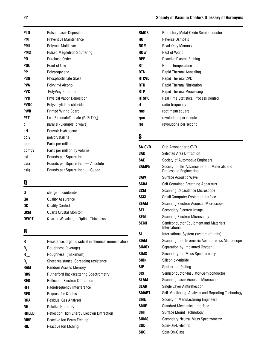| <b>PLD</b>     | <b>Pulsed Laser Deposition</b>                |
|----------------|-----------------------------------------------|
| <b>PM</b>      | Preventive Maintenance                        |
| <b>PML</b>     | Polymer Multilayer                            |
| <b>PMS</b>     | <b>Pulsed Magnetron Sputtering</b>            |
| P <sub>0</sub> | Purchase Order                                |
| <b>POU</b>     | Point of Use                                  |
| PP             | Polypropylene                                 |
| <b>PSG</b>     | PhosphoSilicate Glass                         |
| <b>PVA</b>     | Polyvinyl Alcohol                             |
| <b>PVC</b>     | PolyVinyl Chloride                            |
| <b>PVD</b>     | <b>Physical Vapor Deposition</b>              |
| <b>PVDC</b>    | Polyviniylidene chloride                      |
| <b>PWB</b>     | <b>Printed Wiring Board</b>                   |
| <b>PZT</b>     | LeadZirconateTitanate (PbZrTiO <sub>3</sub> ) |
| p              | parallel (Example: p wave)                    |
| pН             | Pouvoir Hydrogene                             |
| poly           | polycrystalline                               |
| ppm            | Parts per million.                            |
| ppmbv          | Parts per million by volume                   |
| psi            | Pounds per Square Inch                        |
| psia           | Pounds per Square Inch - Absolute             |
| psig           | Pounds per Square Inch — Guage                |
|                |                                               |

# **Q**

| 0           | charge in coulombs                          |
|-------------|---------------------------------------------|
| QA          | <b>Quality Assurance</b>                    |
| QC          | <b>Quality Control</b>                      |
| QCM         | Quartz Crystal Monitor                      |
| <b>QWOT</b> | <b>Quarter Wavelength Optical Thickness</b> |

<u> 1980 - Johann Barn, mars an t-Amerikaansk kommunister (</u>

## **R**

| R                         | Resistance, organic radical in chemical nomenclature |
|---------------------------|------------------------------------------------------|
| R,                        | Roughness (average)                                  |
| $\mathbf{R}_{\text{max}}$ | Roughness (maximum)                                  |
| $R_{s}$                   | Sheet resistance, Spreading resistance               |
| RAM                       | Random Access Memory                                 |
| <b>RBS</b>                | <b>Rutherford Backscattering Spectrometry</b>        |
| RED                       | <b>Reflection Electron Diffraction</b>               |
| RFI                       | Radiofrequency Interference                          |
| <b>RFQ</b>                | <b>Request for Quotes</b>                            |
| RGA                       | Residual Gas Analyzer                                |
| RH                        | <b>Relative Humidity</b>                             |
| <b>RHEED</b>              | Reflection High Energy Electron Diffraction          |
| <b>RIBE</b>               | Reactive Ion Beam Etching                            |
| RIE                       | Reactive Ion Etching                                 |
|                           |                                                      |

| <b>RMOS</b>  | Refractory Metal-Oxide Semiconductor  |
|--------------|---------------------------------------|
| R0           | Reverse Osmosis                       |
| ROM          | Read-Only Memory                      |
| <b>ROW</b>   | Rest of World                         |
| <b>RPE</b>   | Reactive Plasma Etching               |
| RT           | Room Temperature                      |
| RTA          | Rapid Thermal Annealing               |
| RTCVD        | Rapid Thermal CVD                     |
| RTN          | Rapid Thermal Nitridation             |
| <b>RTP</b>   | Rapid Thermal Processing              |
| <b>RTSPC</b> | Real Time Statistical Process Control |
| rf           | radio frequency                       |
| rms          | root mean square                      |
| rpm          | revolutions per minute                |
| rps          | revolutions per second                |

# **S**

| <b>SA-CVD</b> | Sub-Atmospheric CVD                                                           |
|---------------|-------------------------------------------------------------------------------|
| SAD           | <b>Selected Area Diffraction</b>                                              |
| SAE           | Society of Automotive Engineers                                               |
| SAMPE         | Society for the Advancement of Materials and<br><b>Processing Engineering</b> |
| SAW           | Surface Acoustic Wave                                                         |
| SCBA          | Self Contained Breathing Apparatus                                            |
| SCM           | Scanning Capacitance Microscope                                               |
| SCSI          | Small Computer Systems Interface                                              |
| SEAM          | Scanning Electron Acoustic Microscope                                         |
| SEI           | Secondary Electron Image                                                      |
| SEM           | <b>Scanning Electron Microscopy</b>                                           |
| SEMI          | Semiconductor Equipment and Materials<br>International                        |
| SI            | International System (system of units)                                        |
| SIAM          | Scanning Interferometric Aperatureless Microscope                             |
| SIMOX         | Separation by Implanted Oxygen                                                |
| <b>SIMS</b>   | Secondary Ion Mass Spectrometry                                               |
| SION          | Silicon oxynitride                                                            |
| SIP           | Sputter Ion Plating                                                           |
| SIS           | Semiconductor-Insulator-Semiconductor                                         |
| SLAM          | Scanning Laser Acoustic Microscope                                            |
| SLAR          | Single Layer Aintireflection                                                  |
| SMART         | Self-Monitoring, Analysis and Reporting Technology                            |
| SME           | Society of Manufacturing Engineers                                            |
| SMIF          | Standard Mechanical Interface                                                 |
| SMT           | Surface Mount Technology                                                      |
| SNMS          | Secondary Neutral Mass Spectrometry                                           |
| SOD           | Spin-On-Dielectric                                                            |
| <b>SOG</b>    | Spin-On-Glass                                                                 |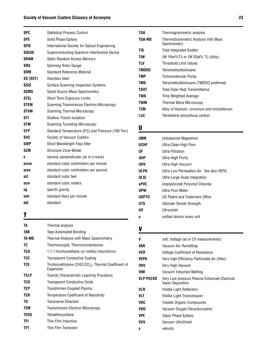| SPC                 | <b>Statistical Process Control</b>                 |
|---------------------|----------------------------------------------------|
| SPE                 | Solid Phase Epitaxy                                |
| <b>SPIE</b>         | International Society for Optical Engineering      |
| SQUID               | Superconducting Quantum Interference Device        |
| SRAM                | <b>Static Random Access Memory</b>                 |
| SRG                 | Spinning Rotor Gauge                               |
| SRM                 | <b>Standard Reference Material</b>                 |
| SS <sub>(SST)</sub> | Stainless steel                                    |
| SSIS                | <b>Surface Scanning Inspection Systems</b>         |
| SSMS                | <b>Spark Source Mass Spectrometry</b>              |
| STEL                | <b>Short Term Exposure Limits</b>                  |
| STEM                | Scanning Transmission Electron Microscopy          |
| <b>SThM</b>         | Scanning Thermal Microscopy                        |
| STI                 | <b>Shallow Trench Isolation</b>                    |
| STM                 | <b>Scanning Tunneling Microscopy</b>               |
| <b>STP</b>          | Standard Temperature (0°C) and Pressure (760 Torr) |
| <b>SVC</b>          | Society of Vacuum Coaters                          |
| SWP                 | Short Wavelength Pass filter                       |
| SZM                 | Structure-Zone-Model                               |
| S                   | second, perpendicular (as in s-wave)               |
| sccm                | standard cubic centimeters per minute              |
| <b>SCCS</b>         | standard cubic centimeters per second              |
| scf                 | standard cubic feet                                |
| scm                 | standard cubic meters                              |
| sq                  | specifc gravity                                    |
| slm                 | standard liters per minute                         |
| std                 | standard                                           |

### **T**

| TA          | Thermal analysis                                                                |
|-------------|---------------------------------------------------------------------------------|
| TAB         | Tape Automated Bonding                                                          |
| TA-MS       | <b>Thermal Analysis with Mass Spectrometry</b>                                  |
| TC          | Thermocouple, Thermocompression                                                 |
| TCA         | 1,1,1-trichloroethane (or methyl chloroform)                                    |
| TCC         | Transparent Conductive Coating                                                  |
| TCE         | Trichloroethylene (CHCI:CCI <sub>2</sub> ), Thermal Coefficient of<br>Expansion |
| <b>TCLP</b> | <b>Toxicity Characteristic Leaching Procedure</b>                               |
| TCO         | Transparent Conductive Oxide                                                    |
| <b>TCP</b>  | Transformer-Coupled Plasma                                                      |
| <b>TCR</b>  | <b>Temperature Coefficient of Resistivity</b>                                   |
| TD          | <b>Transverse Direction</b>                                                     |
| TEM         | <b>Transmission Electron Microscopy</b>                                         |
| <b>TEOS</b> | Tetraethoxysilane                                                               |
| TFI         | Thin-Film Inductive                                                             |
| TFT         | Thin Film Transistor                                                            |

| Thermogravimetric analysis                           |
|------------------------------------------------------|
| ThermoGravimetric Analysis with Mass<br>Spectrometry |
| <b>Total Integrated Scatter</b>                      |
| (W:10wt%Ti) or (W:30at% Ti) (alloy)                  |
| <b>Threshold Limit Values</b>                        |
| Tetramethyldisiloxane                                |
| Turbomolecular Pump                                  |
| Tetramethyldisiloxane (TMDSO preferred)              |
| Total Solar Heat Transmittance                       |
| Time Weighted Average                                |
| Thermal Wave Microscopy                              |
| Alloy of titanium, zirconium and molybdenum          |
| Tetrahedral amorphous carbon                         |
|                                                      |

| UBM          | Unbalanced Magnetron                     |
|--------------|------------------------------------------|
| UCHF         | Ultra-Clean High Flow                    |
| UF           | Ultra-Filtration                         |
| UHP          | Ultra-High Purity                        |
| UHV          | Ultra-High Vacuum                        |
| ULPA         | Ultra-Low Permeation Air. See also HEPA. |
| ULSI         | <b>Ultra-Large Scale Integration</b>     |
| uPVC         | Unplasticized Polyvinyl Chloride         |
| UPW          | Ultra-Pure Water                         |
| <b>USPTO</b> | US Patent and Trademark Office           |
| UTS          | Ultimate Tensile Strength                |
| UV           | Ultraviolet                              |
| u            | unified atomic mass unit                 |

# **V**

| V         | volt: Voltage (as in CV measurements)                                 |
|-----------|-----------------------------------------------------------------------|
| VAR       | Vacuum Arc Remelting                                                  |
| VCR       | <b>Voltage Coefficient of Resistance</b>                              |
| VEPA      | Very-high Efficiency Particulate Air (filter)                         |
| VHV       | Very High Vacuum                                                      |
| VIM       | Vacuum Induction Melting                                              |
| VLP-PECVD | Very Low pressure Plasma Enhanced Chemical<br><b>Vapor Deposition</b> |
| VLR       | Visible Light Reflection                                              |
| VLT       | Visible Light Transmission                                            |
| VOC       | <b>Volatile Organic Compounds</b>                                     |
| VOD       | Vacuum Oxygen Decarburization                                         |
| VPE       | Vapor Phase Epitaxy                                                   |
| VUV       | Vacuum UltraViolet                                                    |
| V         | velocity                                                              |